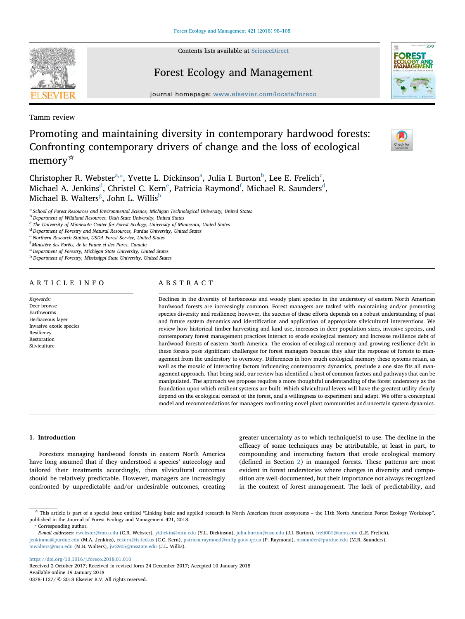Contents lists available at [ScienceDirect](http://www.sciencedirect.com/science/journal/03781127)



# Forest Ecology and Management



journal homepage: [www.elsevier.com/locate/foreco](https://www.elsevier.com/locate/foreco)

Tamm review

Promoting and maintaining diversity in contemporary hardwood forests: Confronting contemporary drivers of change and the loss of ecological memory<sup>☆</sup>

Christopher R. Webster<sup>[a](#page-0-0),\*</sup>, Yvette L. Dickinson<sup>a</sup>, Julia I. Burton<sup>[b](#page-0-2)</sup>, Lee E. Freli[c](#page-0-3)h<sup>c</sup>, Micha[e](#page-0-5)l A. Jenkins $\rm^d$  $\rm^d$ , Christel C. Kern $\rm^e$ , Patricia Raymond $\rm^f$  $\rm^f$ , Michael R. Saunders $\rm^d$ , Michael B. Walters<sup>[g](#page-0-7)</sup>, Jo[h](#page-0-8)n L. Willis<sup>h</sup>

<span id="page-0-0"></span><sup>a</sup> School of Forest Resources and Environmental Science, Michigan Technological University, United States

<span id="page-0-2"></span>**b** Department of Wildland Resources, Utah State University, United States

<span id="page-0-3"></span>c The University of Minnesota Center for Forest Ecology, University of Minnesota, United States

<span id="page-0-4"></span><sup>d</sup> Department of Forestry and Natural Resources, Purdue University, United States

<span id="page-0-5"></span><sup>e</sup> Northern Research Station, USDA Forest Service, United States

<span id="page-0-6"></span>f Ministère des Forêts, de la Faune et des Parcs, Canada

<span id="page-0-7"></span><sup>g</sup> Department of Forestry, Michigan State University, United States

<span id="page-0-8"></span><sup>h</sup> Department of Forestry, Mississippi State University, United States

# ARTICLE INFO

Keywords: Deer browse Earthworms Herbaceous layer Invasive exotic species Resiliency Restoration Silviculture

# ABSTRACT

Declines in the diversity of herbaceous and woody plant species in the understory of eastern North American hardwood forests are increasingly common. Forest managers are tasked with maintaining and/or promoting species diversity and resilience; however, the success of these efforts depends on a robust understanding of past and future system dynamics and identification and application of appropriate silvicultural interventions. We review how historical timber harvesting and land use, increases in deer population sizes, invasive species, and contemporary forest management practices interact to erode ecological memory and increase resilience debt of hardwood forests of eastern North America. The erosion of ecological memory and growing resilience debt in these forests pose significant challenges for forest managers because they alter the response of forests to management from the understory to overstory. Differences in how much ecological memory these systems retain, as well as the mosaic of interacting factors influencing contemporary dynamics, preclude a one size fits all management approach. That being said, our review has identified a host of common factors and pathways that can be manipulated. The approach we propose requires a more thoughtful understanding of the forest understory as the foundation upon which resilient systems are built. Which silvicultural levers will have the greatest utility clearly depend on the ecological context of the forest, and a willingness to experiment and adapt. We offer a conceptual model and recommendations for managers confronting novel plant communities and uncertain system dynamics.

# 1. Introduction

Foresters managing hardwood forests in eastern North America have long assumed that if they understood a species' autecology and tailored their treatments accordingly, then silvicultural outcomes should be relatively predictable. However, managers are increasingly confronted by unpredictable and/or undesirable outcomes, creating greater uncertainty as to which technique(s) to use. The decline in the efficacy of some techniques may be attributable, at least in part, to compounding and interacting factors that erode ecological memory (defined in Section [2](#page-1-0)) in managed forests. These patterns are most evident in forest understories where changes in diversity and composition are well-documented, but their importance not always recognized in the context of forest management. The lack of predictability, and

E-mail addresses: [cwebster@mtu.edu](mailto:cwebster@mtu.edu) (C.R. Webster), [yldickin@mtu.edu](mailto:yldickin@mtu.edu) (Y.L. Dickinson), [julia.burton@usu.edu](mailto:julia.burton@usu.edu) (J.I. Burton), [freli001@umn.edu](mailto:freli001@umn.edu) (L.E. Frelich), [jenkinma@purdue.edu](mailto:jenkinma@purdue.edu) (M.A. Jenkins), [cckern@fs.fed.us](mailto:cckern@fs.fed.us) (C.C. Kern), [patricia.raymond@m](mailto:patricia.raymond@mffp.gouv.qc.ca)ffp.gouv.qc.ca (P. Raymond), [msaunder@purdue.edu](mailto:msaunder@purdue.edu) (M.R. Saunders), [mwalters@msu.edu](mailto:mwalters@msu.edu) (M.B. Walters), [jw2905@msstate.edu](mailto:jw2905@msstate.edu) (J.L. Willis).

<https://doi.org/10.1016/j.foreco.2018.01.010>

Received 2 October 2017; Received in revised form 24 December 2017; Accepted 10 January 2018 Available online 19 January 2018 0378-1127/ © 2018 Elsevier B.V. All rights reserved.



<sup>☆</sup> This article is part of a special issue entitled "Linking basic and applied research in North American forest ecosystems – the 11th North American Forest Ecology Workshop", published in the Journal of Forest Ecology and Management 421, 2018.<br>
<sup>\*</sup> Corresponding author.

<span id="page-0-1"></span>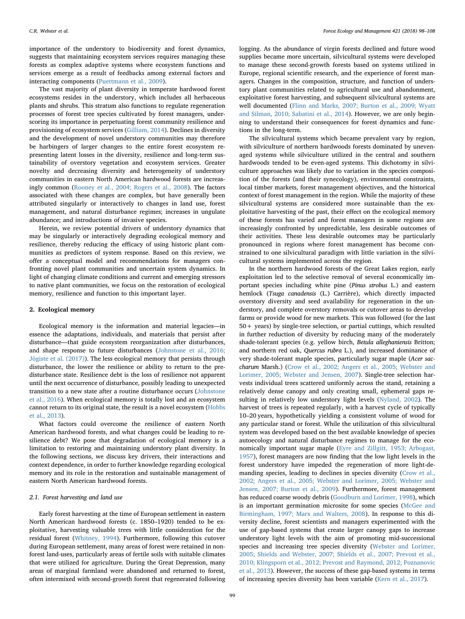importance of the understory to biodiversity and forest dynamics, suggests that maintaining ecosystem services requires managing these forests as complex adaptive systems where ecosystem functions and services emerge as a result of feedbacks among external factors and interacting components ([Puettmann et al., 2009](#page-10-0)).

The vast majority of plant diversity in temperate hardwood forest ecosystems resides in the understory, which includes all herbaceous plants and shrubs. This stratum also functions to regulate regeneration processes of forest tree species cultivated by forest managers, underscoring its importance in perpetuating forest community resilience and provisioning of ecosystem services ([Gilliam, 2014\)](#page-8-0). Declines in diversity and the development of novel understory communities may therefore be harbingers of larger changes to the entire forest ecosystem representing latent losses in the diversity, resilience and long-term sustainability of overstory vegetation and ecosystem services. Greater novelty and decreasing diversity and heterogeneity of understory communities in eastern North American hardwood forests are increasingly common [\(Rooney et al., 2004; Rogers et al., 2008](#page-10-1)). The factors associated with these changes are complex, but have generally been attributed singularly or interactively to changes in land use, forest management, and natural disturbance regimes; increases in ungulate abundance; and introductions of invasive species.

Herein, we review potential drivers of understory dynamics that may be singularly or interactively degrading ecological memory and resilience, thereby reducing the efficacy of using historic plant communities as predictors of system response. Based on this review, we offer a conceptual model and recommendations for managers confronting novel plant communities and uncertain system dynamics. In light of changing climate conditions and current and emerging stressors to native plant communities, we focus on the restoration of ecological memory, resilience and function to this important layer.

# <span id="page-1-0"></span>2. Ecological memory

Ecological memory is the information and material legacies—in essence the adaptations, individuals, and materials that persist after disturbance—that guide ecosystem reorganization after disturbances, and shape response to future disturbances [\(Johnstone et al., 2016;](#page-9-0) [Jõgiste et al. \(2017\)](#page-9-0)). The less ecological memory that persists through disturbance, the lower the resilience or ability to return to the predisturbance state. Resilience debt is the loss of resilience not apparent until the next occurrence of disturbance, possibly leading to unexpected transition to a new state after a routine disturbance occurs ([Johnstone](#page-9-0) [et al., 2016\)](#page-9-0). When ecological memory is totally lost and an ecosystem cannot return to its original state, the result is a novel ecosystem [\(Hobbs](#page-9-1) [et al., 2013](#page-9-1)).

What factors could overcome the resilience of eastern North American hardwood forests, and what changes could be leading to resilience debt? We pose that degradation of ecological memory is a limitation to restoring and maintaining understory plant diversity. In the following sections, we discuss key drivers, their interactions and context dependence, in order to further knowledge regarding ecological memory and its role in the restoration and sustainable management of eastern North American hardwood forests.

# 2.1. Forest harvesting and land use

Early forest harvesting at the time of European settlement in eastern North American hardwood forests (c. 1850–1920) tended to be exploitative, harvesting valuable trees with little consideration for the residual forest ([Whitney, 1994](#page-10-2)). Furthermore, following this cutover during European settlement, many areas of forest were retained in nonforest land-uses, particularly areas of fertile soils with suitable climates that were utilized for agriculture. During the Great Depression, many areas of marginal farmland were abandoned and returned to forest, often intermixed with second-growth forest that regenerated following logging. As the abundance of virgin forests declined and future wood supplies became more uncertain, silvicultural systems were developed to manage these second-growth forests based on systems utilized in Europe, regional scientific research, and the experience of forest managers. Changes in the composition, structure, and function of understory plant communities related to agricultural use and abandonment, exploitative forest harvesting, and subsequent silvicultural systems are well documented [\(Flinn and Marks, 2007; Burton et al., 2009; Wyatt](#page-8-1) [and Silman, 2010; Sabatini et al., 2014\)](#page-8-1). However, we are only beginning to understand their consequences for forest dynamics and functions in the long-term.

The silvicultural systems which became prevalent vary by region, with silviculture of northern hardwoods forests dominated by unevenaged systems while silviculture utilized in the central and southern hardwoods tended to be even-aged systems. This dichotomy in silviculture approaches was likely due to variation in the species composition of the forests (and their synecology), environmental constraints, local timber markets, forest management objectives, and the historical context of forest management in the region. While the majority of these silvicultural systems are considered more sustainable than the exploitative harvesting of the past, their effect on the ecological memory of these forests has varied and forest managers in some regions are increasingly confronted by unpredictable, less desirable outcomes of their activities. These less desirable outcomes may be particularly pronounced in regions where forest management has become constrained to one silvicultural paradigm with little variation in the silvicultural systems implemented across the region.

In the northern hardwood forests of the Great Lakes region, early exploitation led to the selective removal of several economically important species including white pine (Pinus strobus L.) and eastern hemlock (Tsuga canadensis (L.) Carrière), which directly impacted overstory diversity and seed availability for regeneration in the understory, and complete overstory removals or cutover areas to develop farms or provide wood for new markets. This was followed (for the last 50+ years) by single-tree selection, or partial cuttings, which resulted in further reduction of diversity by reducing many of the moderately shade-tolerant species (e.g. yellow birch, Betula alleghaniensis Britton; and northern red oak, Quercus rubra L.), and increased dominance of very shade-tolerant maple species, particularly sugar maple (Acer saccharum Marsh.) [\(Crow et al., 2002; Angers et al., 2005; Webster and](#page-8-2) [Lorimer, 2005; Webster and Jensen, 2007](#page-8-2)). Single-tree selection harvests individual trees scattered uniformly across the stand, retaining a relatively dense canopy and only creating small, ephemeral gaps resulting in relatively low understory light levels [\(Nyland, 2002\)](#page-9-2). The harvest of trees is repeated regularly, with a harvest cycle of typically 10–20 years, hypothetically yielding a consistent volume of wood for any particular stand or forest. While the utilization of this silvicultural system was developed based on the best available knowledge of species autoecology and natural disturbance regimes to manage for the economically important sugar maple [\(Eyre and Zillgitt, 1953; Arbogast,](#page-8-3) [1957\)](#page-8-3), forest managers are now finding that the low light levels in the forest understory have impeded the regeneration of more light-demanding species, leading to declines in species diversity [\(Crow et al.,](#page-8-2) [2002; Angers et al., 2005; Webster and Lorimer, 2005; Webster and](#page-8-2) [Jensen, 2007; Burton et al., 2009\)](#page-8-2). Furthermore, forest management has reduced coarse woody debris ([Goodburn and Lorimer, 1998\)](#page-8-4), which is an important germination microsite for some species ([McGee and](#page-9-3) [Birmingham, 1997; Marx and Walters, 2008](#page-9-3)). In response to this diversity decline, forest scientists and managers experimented with the use of gap-based systems that create larger canopy gaps to increase understory light levels with the aim of promoting mid-successional species and increasing tree species diversity [\(Webster and Lorimer,](#page-10-3) [2005; Shields and Webster, 2007; Shields et al., 2007; Prevost et al.,](#page-10-3) [2010; Klingsporn et al., 2012; Prevost and Raymond, 2012; Poznanovic](#page-10-3) [et al., 2013\)](#page-10-3). However, the success of these gap-based systems in terms of increasing species diversity has been variable ([Kern et al., 2017\)](#page-9-4).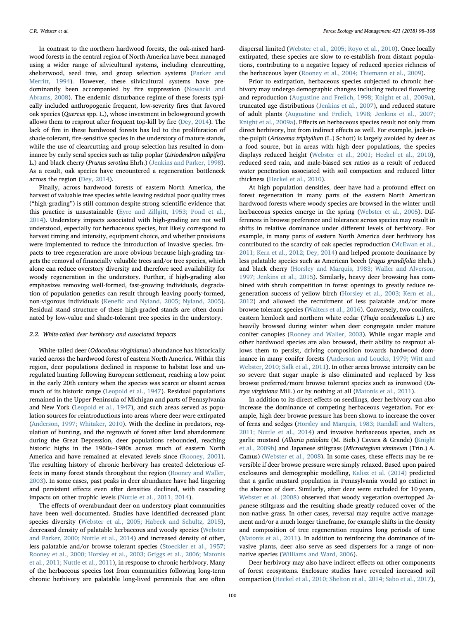In contrast to the northern hardwood forests, the oak-mixed hardwood forests in the central region of North America have been managed using a wider range of silvicultural systems, including clearcutting, shelterwood, seed tree, and group selection systems [\(Parker and](#page-9-5) [Merritt, 1994\)](#page-9-5). However, these silvicultural systems have predominantly been accompanied by fire suppression [\(Nowacki and](#page-9-6) [Abrams, 2008\)](#page-9-6). The endemic disturbance regime of these forests typically included anthropogenic frequent, low-severity fires that favored oak species (Quercus spp. L.), whose investment in belowground growth allows them to resprout after frequent top-kill by fire [\(Dey, 2014\)](#page-8-5). The lack of fire in these hardwood forests has led to the proliferation of shade-tolerant, fire-sensitive species in the understory of mature stands, while the use of clearcutting and group selection has resulted in dominance by early seral species such as tulip poplar (Liriodendron tulipifera L.) and black cherry (Prunus serotina Ehrh.) [\(Jenkins and Parker, 1998](#page-9-7)). As a result, oak species have encountered a regeneration bottleneck across the region ([Dey, 2014](#page-8-5)).

Finally, across hardwood forests of eastern North America, the harvest of valuable tree species while leaving residual poor quality trees ("high-grading") is still common despite strong scientific evidence that this practice is unsustainable ([Eyre and Zillgitt, 1953; Pond et al.,](#page-8-3) [2014\)](#page-8-3). Understory impacts associated with high-grading are not well understood, especially for herbaceous species, but likely correspond to harvest timing and intensity, equipment choice, and whether provisions were implemented to reduce the introduction of invasive species. Impacts to tree regeneration are more obvious because high-grading targets the removal of financially valuable trees and/or tree species, which alone can reduce overstory diversity and therefore seed availability for woody regeneration in the understory. Further, if high-grading also emphasizes removing well-formed, fast-growing individuals, degradation of population genetics can result through leaving poorly-formed, non-vigorous individuals (Kenefi[c and Nyland, 2005; Nyland, 2005](#page-9-8)). Residual stand structure of these high-graded stands are often dominated by low-value and shade-tolerant tree species in the understory.

# 2.2. White-tailed deer herbivory and associated impacts

White-tailed deer (Odocoileus virginianus) abundance has historically varied across the hardwood forest of eastern North America. Within this region, deer populations declined in response to habitat loss and unregulated hunting following European settlement, reaching a low point in the early 20th century when the species was scarce or absent across much of its historic range [\(Leopold et al., 1947\)](#page-9-9). Residual populations remained in the Upper Peninsula of Michigan and parts of Pennsylvania and New York [\(Leopold et al., 1947\)](#page-9-9), and such areas served as population sources for reintroductions into areas where deer were extirpated ([Anderson, 1997; Whitaker, 2010](#page-8-6)). With the decline in predators, regulation of hunting, and the regrowth of forest after land abandonment during the Great Depression, deer populations rebounded, reaching historic highs in the 1960s–1980s across much of eastern North America and have remained at elevated levels since [\(Rooney, 2001](#page-10-4)). The resulting history of chronic herbivory has created deleterious effects in many forest stands throughout the region ([Rooney and Waller,](#page-10-5) [2003\)](#page-10-5). In some cases, past peaks in deer abundance have had lingering and persistent effects even after densities declined, with cascading impacts on other trophic levels ([Nuttle et al., 2011, 2014](#page-9-10)).

The effects of overabundant deer on understory plant communities have been well-documented. Studies have identified decreased plant species diversity ([Webster et al., 2005; Habeck and Schultz, 2015](#page-10-6)), decreased density of palatable herbaceous and woody species ([Webster](#page-10-7) [and Parker, 2000; Nuttle et al., 2014](#page-10-7)) and increased density of other, less palatable and/or browse tolerant species [\(Stoeckler et al., 1957;](#page-10-8) [Rooney et al., 2000; Horsley et al., 2003; Griggs et al., 2006; Matonis](#page-10-8) [et al., 2011; Nuttle et al., 2011](#page-10-8)), in response to chronic herbivory. Many of the herbaceous species lost from communities following long-term chronic herbivory are palatable long-lived perennials that are often

dispersal limited [\(Webster et al., 2005; Royo et al., 2010](#page-10-6)). Once locally extirpated, these species are slow to re-establish from distant populations, contributing to a negative legacy of reduced species richness of the herbaceous layer [\(Rooney et al., 2004; Thiemann et al., 2009\)](#page-10-1).

Prior to extirpation, herbaceous species subjected to chronic herbivory may undergo demographic changes including reduced flowering and reproduction [\(Augustine and Frelich, 1998; Knight et al., 2009a](#page-8-7)), truncated age distributions [\(Jenkins et al., 2007\)](#page-9-11), and reduced stature of adult plants ([Augustine and Frelich, 1998; Jenkins et al., 2007;](#page-8-7) [Knight et al., 2009a\)](#page-8-7). Effects on herbaceous species result not only from direct herbivory, but from indirect effects as well. For example, jack-inthe-pulpit (Arisaema triphyllum (L.) Schott) is largely avoided by deer as a food source, but in areas with high deer populations, the species displays reduced height ([Webster et al., 2001; Heckel et al., 2010](#page-10-9)), reduced seed rain, and male-biased sex ratios as a result of reduced water penetration associated with soil compaction and reduced litter thickness ([Heckel et al., 2010](#page-9-12)).

At high population densities, deer have had a profound effect on forest regeneration in many parts of the eastern North American hardwood forests where woody species are browsed in the winter until herbaceous species emerge in the spring [\(Webster et al., 2005\)](#page-10-6). Differences in browse preference and tolerance across species may result in shifts in relative dominance under different levels of herbivory. For example, in many parts of eastern North America deer herbivory has contributed to the scarcity of oak species reproduction [\(McEwan et al.,](#page-9-13) [2011; Kern et al., 2012; Dey, 2014](#page-9-13)) and helped promote dominance by less palatable species such as American beech (Fagus grandifolia Ehrh.) and black cherry [\(Horsley and Marquis, 1983; Waller and Alverson,](#page-9-14) [1997; Jenkins et al., 2015](#page-9-14)). Similarly, heavy deer browsing has combined with shrub competition in forest openings to greatly reduce regeneration success of yellow birch [\(Horsley et al., 2003; Kern et al.,](#page-9-15) [2012\)](#page-9-15) and allowed the recruitment of less palatable and/or more browse tolerant species ([Walters et al., 2016\)](#page-10-10). Conversely, two conifers, eastern hemlock and northern white cedar (Thuja occidentalisis L.) are heavily browsed during winter when deer congregate under mature conifer canopies ([Rooney and Waller, 2003\)](#page-10-5). While sugar maple and other hardwood species are also browsed, their ability to resprout allows them to persist, driving composition towards hardwood dominance in many conifer forests ([Anderson and Loucks, 1979; Witt and](#page-8-8) [Webster, 2010; Salk et al., 2011\)](#page-8-8). In other areas browse intensity can be so severe that sugar maple is also eliminated and replaced by less browse preferred/more browse tolerant species such as ironwood (Ostrya virginiana Mill.) or by nothing at all ([Matonis et al., 2011](#page-9-16)).

In addition to its direct effects on seedlings, deer herbivory can also increase the dominance of competing herbaceous vegetation. For example, high deer browse pressure has been shown to increase the cover of ferns and sedges ([Horsley and Marquis, 1983; Randall and Walters,](#page-9-14) [2011; Nuttle et al., 2014\)](#page-9-14) and invasive herbaceous species, such as garlic mustard (Alliaria petiolata (M. Bieb.) Cavara & Grande) [\(Knight](#page-9-17) [et al., 2009b](#page-9-17)) and Japanese stiltgrass (Microstegium vimineum (Trin.) A. Camus) ([Webster et al., 2008](#page-10-11)). In some cases, these effects may be reversible if deer browse pressure were simply relaxed. Based upon paired exclosures and demographic modelling, [Kalisz et al. \(2014\)](#page-9-18) predicted that a garlic mustard population in Pennsylvania would go extinct in the absence of deer. Similarly, after deer were excluded for 10 years, [Webster et al. \(2008\)](#page-10-11) observed that woody vegetation overtopped Japanese stiltgrass and the resulting shade greatly reduced cover of the non-native grass. In other cases, reversal may require active management and/or a much longer timeframe, for example shifts in the density and composition of tree regeneration requires long periods of time ([Matonis et al., 2011\)](#page-9-16). In addition to reinforcing the dominance of invasive plants, deer also serve as seed dispersers for a range of nonnative species [\(Williams and Ward, 2006\)](#page-10-12).

Deer herbivory may also have indirect effects on other components of forest ecosystems. Exclosure studies have revealed increased soil compaction ([Heckel et al., 2010; Shelton et al., 2014; Sabo et al., 2017](#page-9-12)),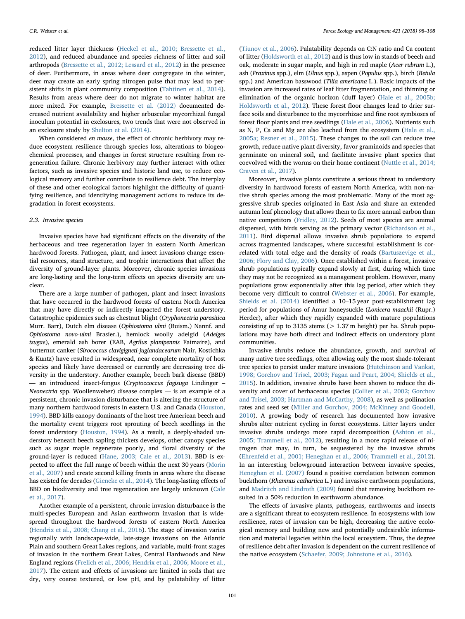reduced litter layer thickness ([Heckel et al., 2010; Bressette et al.,](#page-9-12) [2012\)](#page-9-12), and reduced abundance and species richness of litter and soil arthropods [\(Bressette et al., 2012; Lessard et al., 2012](#page-8-9)) in the presence of deer. Furthermore, in areas where deer congregate in the winter, deer may create an early spring nitrogen pulse that may lead to persistent shifts in plant community composition ([Tahtinen et al., 2014](#page-10-13)). Results from areas where deer do not migrate to winter habitat are more mixed. For example, [Bressette et al. \(2012\)](#page-8-9) documented decreased nutrient availability and higher arbuscular mycorrhizal fungal inoculum potential in exclosures, two trends that were not observed in an exclosure study by [Shelton et al. \(2014\)](#page-10-14).

When considered en masse, the effect of chronic herbivory may reduce ecosystem resilience through species loss, alterations to biogeochemical processes, and changes in forest structure resulting from regeneration failure. Chronic herbivory may further interact with other factors, such as invasive species and historic land use, to reduce ecological memory and further contribute to resilience debt. The interplay of these and other ecological factors highlight the difficulty of quantifying resilience, and identifying management actions to reduce its degradation in forest ecosystems.

# <span id="page-3-0"></span>2.3. Invasive species

Invasive species have had significant effects on the diversity of the herbaceous and tree regeneration layer in eastern North American hardwood forests. Pathogen, plant, and insect invasions change essential resources, stand structure, and trophic interactions that affect the diversity of ground-layer plants. Moreover, chronic species invasions are long-lasting and the long-term effects on species diversity are unclear.

There are a large number of pathogen, plant and insect invasions that have occurred in the hardwood forests of eastern North America that may have directly or indirectly impacted the forest understory. Catastrophic epidemics such as chestnut blight (Cryphonectria parasitica Murr. Barr), Dutch elm disease (Ophiostoma ulmi (Buism.) Nannf. and Ophiostoma novo-ulmi Brasier.), hemlock woolly adelgid (Adelges tsugae), emerald ash borer (EAB, Agrilus planipennis Faimaire), and butternut canker (Sirococcus clavigigneti-juglandacearum Nair, Kostichka & Kuntz) have resulted in widespread, near complete mortality of host species and likely have decreased or currently are decreasing tree diversity in the understory. Another example, beech bark disease (BBD) — an introduced insect-fungus (Cryptoccoccus fagisuga Lindinger – Neonectria spp. Woollenweber) disease complex — is an example of a persistent, chronic invasion disturbance that is altering the structure of many northern hardwood forests in eastern U.S. and Canada ([Houston,](#page-9-19) [1994\)](#page-9-19). BBD kills canopy dominants of the host tree American beech and the mortality event triggers root sprouting of beech seedlings in the forest understory [\(Houston, 1994\)](#page-9-19). As a result, a deeply-shaded understory beneath beech sapling thickets develops, other canopy species such as sugar maple regenerate poorly, and floral diversity of the ground-layer is reduced ([Hane, 2003; Cale et al., 2013\)](#page-9-20). BBD is expected to affect the full range of beech within the next 30 years [\(Morin](#page-9-21) [et al.,](#page-9-21) 2007) and create second killing fronts in areas where the disease has existed for decades [\(Giencke et al., 2014\)](#page-8-10). The long-lasting effects of BBD on biodiversity and tree regeneration are largely unknown [\(Cale](#page-8-11) [et al., 2017](#page-8-11)).

Another example of a persistent, chronic invasion disturbance is the multi-species European and Asian earthworm invasion that is widespread throughout the hardwood forests of eastern North America ([Hendrix et al., 2008; Chang et al., 2016](#page-9-22)). The stage of invasion varies regionally with landscape-wide, late-stage invasions on the Atlantic Plain and southern Great Lakes regions, and variable, multi-front stages of invasion in the northern Great Lakes, Central Hardwoods and New England regions [\(Frelich et al., 2006; Hendrix et al., 2006; Moore et al.,](#page-8-12) [2017\)](#page-8-12). The extent and effects of invasions are limited in soils that are dry, very coarse textured, or low pH, and by palatability of litter

([Tiunov et al., 2006](#page-10-15)). Palatability depends on C:N ratio and Ca content of litter ([Holdsworth et al., 2012](#page-9-23)) and is thus low in stands of beech and oak, moderate in sugar maple, and high in red maple (Acer rubrum L.), ash (Fraxinus spp.), elm (Ulnus spp.), aspen (Populus spp.), birch (Betula spp.) and American basswood (Tilia americana L.). Basic impacts of the invasion are increased rates of leaf litter fragmentation, and thinning or elimination of the organic horizon (duff layer) [\(Hale et al., 2005b;](#page-9-24) [Holdsworth et al., 2012\)](#page-9-24). These forest floor changes lead to drier surface soils and disturbance to the mycorrhizae and fine root symbioses of forest floor plants and tree seedlings [\(Hale et al., 2006\)](#page-9-25). Nutrients such as N, P, Ca and Mg are also leached from the ecosystem ([Hale et al.,](#page-9-26) [2005a; Resner et al., 2015](#page-9-26)). These changes to the soil can reduce tree growth, reduce native plant diversity, favor graminoids and species that germinate on mineral soil, and facilitate invasive plant species that coevolved with the worms on their home continent ([Nuttle et al., 2014;](#page-9-27) [Craven et al., 2017\)](#page-9-27).

Moreover, invasive plants constitute a serious threat to understory diversity in hardwood forests of eastern North America, with non-native shrub species among the most problematic. Many of the most aggressive shrub species originated in East Asia and share an extended autumn leaf phenology that allows them to fix more annual carbon than native competitors ([Fridley, 2012](#page-8-13)). Seeds of most species are animal dispersed, with birds serving as the primary vector ([Richardson et al.,](#page-10-16) [2011\)](#page-10-16). Bird dispersal allows invasive shrub populations to expand across fragmented landscapes, where successful establishment is correlated with total edge and the density of roads ([Bartuszevige et al.,](#page-8-14) [2006; Flory and Clay, 2006](#page-8-14)). Once established within a forest, invasive shrub populations typically expand slowly at first, during which time they may not be recognized as a management problem. However, many populations grow exponentially after this lag period, after which they become very difficult to control [\(Webster et](#page-10-17) al., 2006). For example, [Shields et al. \(2014\)](#page-10-18) identified a 10–15 year post-establishment lag period for populations of Amur honeysuckle (Lonicera maackii (Rupr.) Herder), after which they rapidly expanded with mature populations consisting of up to 3135 stems ( $> 1.37$  m height) per ha. Shrub populations may have both direct and indirect effects on understory plant communities.

Invasive shrubs reduce the abundance, growth, and survival of many native tree seedlings, often allowing only the most shade-tolerant tree species to persist under mature invasions [\(Hutchinson and Vankat,](#page-9-28) [1998; Gorchov and Trisel, 2003; Fagan and Peart, 2004; Shields et al.,](#page-9-28) [2015\)](#page-9-28). In addition, invasive shrubs have been shown to reduce the diversity and cover of herbaceous species ([Collier et al., 2002; Gorchov](#page-8-15) [and Trisel, 2003; Hartman and McCarthy, 2008](#page-8-15)), as well as pollination rates and seed set [\(Miller and Gorchov, 2004; McKinney and Goodell,](#page-9-29) [2010\)](#page-9-29). A growing body of research has documented how invasive shrubs alter nutrient cycling in forest ecosystems. Litter layers under invasive shrubs undergo more rapid decomposition [\(Ashton et al.,](#page-8-16) [2005; Trammell et al., 2012\)](#page-8-16), resulting in a more rapid release of nitrogen that may, in turn, be sequestered by the invasive shrubs ([Ehrenfeld et al., 2001; Heneghan et al., 2006; Trammell et al., 2012](#page-8-17)). In an interesting belowground interaction between invasive species, [Heneghan et al. \(2007\)](#page-9-30) found a positive correlation between common buckthorn (Rhamnus cathartica L.) and invasive earthworm populations, and [Madritch and Lindroth \(2009\)](#page-9-31) found that removing buckthorn resulted in a 50% reduction in earthworm abundance.

The effects of invasive plants, pathogens, earthworms and insects are a significant threat to ecosystem resilience. In ecosystems with low resilience, rates of invasion can be high, decreasing the native ecological memory and building new and potentially undesirable information and material legacies within the local ecosystem. Thus, the degree of resilience debt after invasion is dependent on the current resilience of the native ecosystem [\(Schaefer, 2009; Johnstone et al., 2016\)](#page-10-19).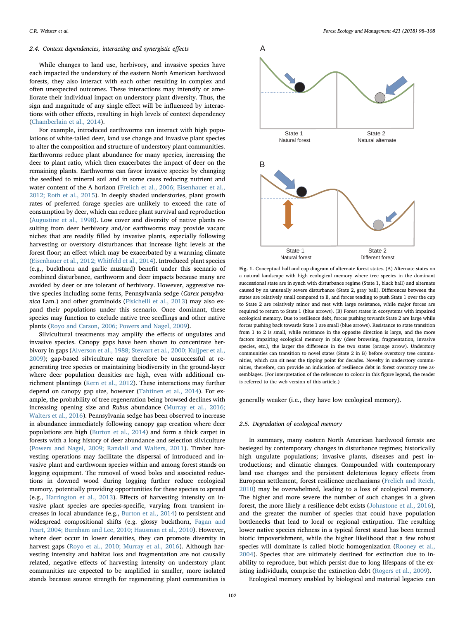# 2.4. Context dependencies, interacting and synergistic effects

While changes to land use, herbivory, and invasive species have each impacted the understory of the eastern North American hardwood forests, they also interact with each other resulting in complex and often unexpected outcomes. These interactions may intensify or ameliorate their individual impact on understory plant diversity. Thus, the sign and magnitude of any single effect will be influenced by interactions with other effects, resulting in high levels of context dependency ([Chamberlain et al., 2014](#page-8-18)).

For example, introduced earthworms can interact with high populations of white-tailed deer, land use change and invasive plant species to alter the composition and structure of understory plant communities. Earthworms reduce plant abundance for many species, increasing the deer to plant ratio, which then exacerbates the impact of deer on the remaining plants. Earthworms can favor invasive species by changing the seedbed to mineral soil and in some cases reducing nutrient and water content of the A horizon ([Frelich et al., 2006; Eisenhauer et al.,](#page-8-12) [2012; Roth et al., 2015\)](#page-8-12). In deeply shaded understories, plant growth rates of preferred forage species are unlikely to exceed the rate of consumption by deer, which can reduce plant survival and reproduction ([Augustine et al., 1998\)](#page-8-19). Low cover and diversity of native plants resulting from deer herbivory and/or earthworms may provide vacant niches that are readily filled by invasive plants, especially following harvesting or overstory disturbances that increase light levels at the forest floor; an effect which may be exacerbated by a warming climate ([Eisenhauer et al., 2012; Whitfeld et al., 2014](#page-8-20)). Introduced plant species (e.g., buckthorn and garlic mustard) benefit under this scenario of combined disturbance, earthworm and deer impacts because many are avoided by deer or are tolerant of herbivory. However, aggressive native species including some ferns, Pennsylvania sedge (Carex pensylvanica Lam.) and other graminoids [\(Fisichelli et al., 2013](#page-8-21)) may also expand their populations under this scenario. Once dominant, these species may function to exclude native tree seedlings and other native plants ([Royo and Carson, 2006; Powers and Nagel, 2009\)](#page-10-20).

Silvicultural treatments may amplify the effects of ungulates and invasive species. Canopy gaps have been shown to concentrate herbivory in gaps [\(Alverson et al., 1988; Stewart et al., 2000; Kuijper et al.,](#page-8-22) [2009\)](#page-8-22); gap-based silviculture may therefore be unsuccessful at regenerating tree species or maintaining biodiversity in the ground-layer where deer population densities are high, even with additional enrichment plantings [\(Kern et al., 2012\)](#page-9-32). These interactions may further depend on canopy gap size, however [\(Tahtinen et al., 2014\)](#page-10-13). For example, the probability of tree regeneration being browsed declines with increasing opening size and Rubus abundance [\(Murray et al., 2016;](#page-9-33) [Walters et al., 2016](#page-9-33)). Pennsylvania sedge has been observed to increase in abundance immediately following canopy gap creation where deer populations are high [\(Burton et al., 2014\)](#page-8-23) and form a thick carpet in forests with a long history of deer abundance and selection silviculture ([Powers and Nagel, 2009; Randall and Walters, 2011\)](#page-10-21). Timber harvesting operations may facilitate the dispersal of introduced and invasive plant and earthworm species within and among forest stands on logging equipment. The removal of wood boles and associated reductions in downed wood during logging further reduce ecological memory, potentially providing opportunities for these species to spread (e.g., [Harrington et al., 2013\)](#page-9-34). Effects of harvesting intensity on invasive plant species are species-specific, varying from transient increases in local abundance (e.g., [Burton et al., 2014](#page-8-23)) to persistent and widespread compositional shifts (e.g. glossy buckthorn, [Fagan and](#page-8-24) [Peart, 2004; Burnham and Lee, 2010; Hausman et al., 2010](#page-8-24)). However, where deer occur in lower densities, they can promote diversity in harvest gaps ([Royo et al., 2010; Murray et al., 2016\)](#page-10-22). Although harvesting intensity and habitat loss and fragmentation are not causally related, negative effects of harvesting intensity on understory plant communities are expected to be amplified in smaller, more isolated stands because source strength for regenerating plant communities is

<span id="page-4-0"></span>

Fig. 1. Conceptual ball and cup diagram of alternate forest states. (A) Alternate states on a natural landscape with high ecological memory where tree species in the dominant successional state are in synch with disturbance regime (State 1, black ball) and alternate caused by an unusually severe disturbance (State 2, gray ball). Differences between the states are relatively small compared to B, and forces tending to push State 1 over the cup to State 2 are relatively minor and met with large resistance, while major forces are required to return to State 1 (blue arrows). (B) Forest states in ecosystems with impaired ecological memory. Due to resilience debt, forces pushing towards State 2 are large while forces pushing back towards State 1 are small (blue arrows). Resistance to state transition from 1 to 2 is small, while resistance in the opposite direction is large, and the more factors impairing ecological memory in play (deer browsing, fragmentation, invasive species, etc.), the larger the difference in the two states (orange arrow). Understory communities can transition to novel states (State 2 in B) before overstory tree communities, which can sit near the tipping point for decades. Novelty in understory communities, therefore, can provide an indication of resilience debt in forest overstory tree assemblages. (For interpretation of the references to colour in this figure legend, the reader is referred to the web version of this article.)

generally weaker (i.e., they have low ecological memory).

## 2.5. Degradation of ecological memory

In summary, many eastern North American hardwood forests are besieged by contemporary changes in disturbance regimes; historically high ungulate populations; invasive plants, diseases and pest introductions; and climatic changes. Compounded with contemporary land use changes and the persistent deleterious legacy effects from European settlement, forest resilience mechanisms ([Frelich and Reich,](#page-8-25) [2010\)](#page-8-25) may be overwhelmed, leading to a loss of ecological memory. The higher and more severe the number of such changes in a given forest, the more likely a resilience debt exists [\(Johnstone et al., 2016](#page-9-0)), and the greater the number of species that could have population bottlenecks that lead to local or regional extirpation. The resulting lower native species richness in a typical forest stand has been termed biotic impoverishment, while the higher likelihood that a few robust species will dominate is called biotic homogenization [\(Rooney et al.,](#page-10-1) [2004\)](#page-10-1). Species that are ultimately destined for extinction due to inability to reproduce, but which persist due to long lifespans of the existing individuals, comprise the extinction debt [\(Rogers et al., 2009](#page-10-23)).

Ecological memory enabled by biological and material legacies can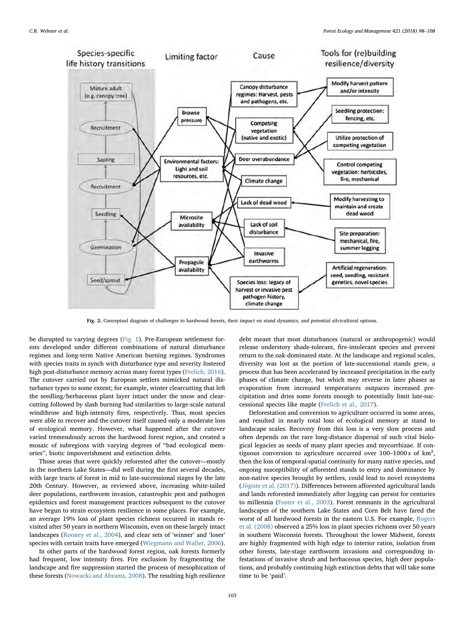<span id="page-5-0"></span>

Fig. 2. Conceptual diagram of challenges to hardwood forests, their impact on stand dynamics, and potential silvicultural options.

be disrupted to varying degrees [\(Fig. 1\)](#page-4-0). Pre-European settlement forests developed under different combinations of natural disturbance regimes and long-term Native American burning regimes. Syndromes with species traits in synch with disturbance type and severity fostered high post-disturbance memory across many forest types ([Frelich, 2016](#page-8-26)). The cutover carried out by European settlers mimicked natural disturbance types to some extent; for example, winter clearcutting that left the seedling/herbaceous plant layer intact under the snow and clearcutting followed by slash burning had similarities to large-scale natural windthrow and high-intensity fires, respectively. Thus, most species were able to recover and the cutover itself caused only a moderate loss of ecological memory. However, what happened after the cutover varied tremendously across the hardwood forest region, and created a mosaic of subregions with varying degrees of "bad ecological memories", biotic impoverishment and extinction debts.

Those areas that were quickly reforested after the cutover—mostly in the northern Lake States—did well during the first several decades, with large tracts of forest in mid to late-successional stages by the late 20th Century. However, as reviewed above, increasing white-tailed deer populations, earthworm invasion, catastrophic pest and pathogen epidemics and forest management practices subsequent to the cutover have begun to strain ecosystem resilience in some places. For example, an average 19% loss of plant species richness occurred in stands revisited after 50 years in northern Wisconsin, even on these largely intact landscapes [\(Rooney et al., 2004](#page-10-1)), and clear sets of 'winner' and 'loser' species with certain traits have emerged [\(Wiegmann and Waller, 2006](#page-10-24)).

In other parts of the hardwood forest region, oak forests formerly had frequent, low intensity fires. Fire exclusion by fragmenting the landscape and fire suppression started the process of mesophication of these forests ([Nowacki and Abrams, 2008](#page-9-6)). The resulting high resilience

debt meant that most disturbances (natural or anthropogenic) would release understory shade-tolerant, fire-intolerant species and prevent return to the oak-dominated state. At the landscape and regional scales, diversity was lost as the portion of late-successional stands grew, a process that has been accelerated by increased precipitation in the early phases of climate change, but which may reverse in later phases as evaporation from increased temperatures outpaces increased precipitation and dries some forests enough to potentially limit late-successional species like maple [\(Frelich et al., 2017\)](#page-8-27).

Deforestation and conversion to agriculture occurred in some areas, and resulted in nearly total loss of ecological memory at stand to landscape scales. Recovery from this loss is a very slow process and often depends on the rare long-distance dispersal of such vital biological legacies as seeds of many plant species and mycorrhizae. If contiguous conversion to agriculture occurred over  $100-1000$  s of  $\text{km}^2$ , then the loss of temporal-spatial continuity for many native species, and ongoing susceptibility of afforested stands to entry and dominance by non-native species brought by settlers, could lead to novel ecosystems ([Jõgiste et al. \(2017\)](#page-9-35)). Differences between afforested agricultural lands and lands reforested immediately after logging can persist for centuries to millennia [\(Foster et al., 2003\)](#page-8-28). Forest remnants in the agricultural landscapes of the southern Lake States and Corn Belt have fared the worst of all hardwood forests in the eastern U.S. For example, [Rogers](#page-10-25) [et al. \(2008\)](#page-10-25) observed a 25% loss in plant species richness over 50 years in southern Wisconsin forests. Throughout the lower Midwest, forests are highly fragmented with high edge to interior ratios, isolation from other forests, late-stage earthworm invasions and corresponding infestations of invasive shrub and herbaceous species, high deer populations, and probably continuing high extinction debts that will take some time to be 'paid'.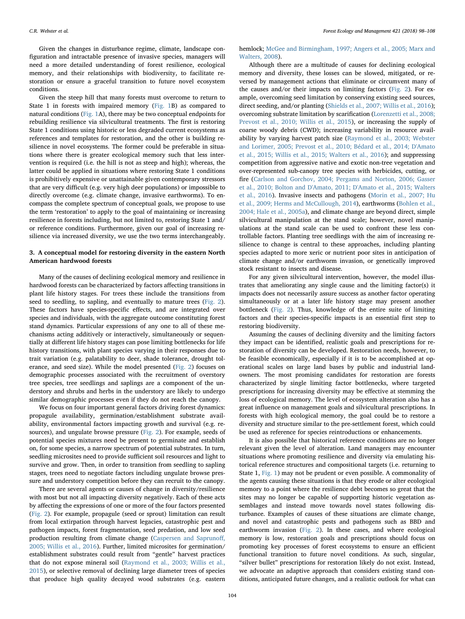Given the changes in disturbance regime, climate, landscape configuration and intractable presence of invasive species, managers will need a more detailed understanding of forest resilience, ecological memory, and their relationships with biodiversity, to facilitate restoration or ensure a graceful transition to future novel ecosystem conditions.

Given the steep hill that many forests must overcome to return to State 1 in forests with impaired memory ([Fig. 1B](#page-4-0)) as compared to natural conditions ([Fig. 1](#page-4-0)A), there may be two conceptual endpoints for rebuilding resilience via silvicultural treatments. The first is restoring State 1 conditions using historic or less degraded current ecosystems as references and templates for restoration, and the other is building resilience in novel ecosystems. The former could be preferable in situations where there is greater ecological memory such that less intervention is required (i.e. the hill is not as steep and high); whereas, the latter could be applied in situations where restoring State 1 conditions is prohibitively expensive or unattainable given contemporary stressors that are very difficult (e.g. very high deer populations) or impossible to directly overcome (e.g. climate change, invasive earthworms). To encompass the complete spectrum of conceptual goals, we propose to use the term 'restoration' to apply to the goal of maintaining or increasing resilience in forests including, but not limited to, restoring State 1 and/ or reference conditions. Furthermore, given our goal of increasing resilience via increased diversity, we use the two terms interchangeably.

# 3. A conceptual model for restoring diversity in the eastern North American hardwood forests

Many of the causes of declining ecological memory and resilience in hardwood forests can be characterized by factors affecting transitions in plant life history stages. For trees these include the transitions from seed to seedling, to sapling, and eventually to mature trees [\(Fig. 2](#page-5-0)). These factors have species-specific effects, and are integrated over species and individuals, with the aggregate outcome constituting forest stand dynamics. Particular expressions of any one to all of these mechanisms acting additively or interactively, simultaneously or sequentially at different life history stages can pose limiting bottlenecks for life history transitions, with plant species varying in their responses due to trait variation (e.g. palatability to deer, shade tolerance, drought tolerance, and seed size). While the model presented ([Fig. 2](#page-5-0)) focuses on demographic processes associated with the recruitment of overstory tree species, tree seedlings and saplings are a component of the understory and shrubs and herbs in the understory are likely to undergo similar demographic processes even if they do not reach the canopy.

We focus on four important general factors driving forest dynamics: propagule availability, germination/establishment substrate availability, environmental factors impacting growth and survival (e.g. resources), and ungulate browse pressure [\(Fig. 2\)](#page-5-0). For example, seeds of potential species mixtures need be present to germinate and establish on, for some species, a narrow spectrum of potential substrates. In turn, seedling microsites need to provide sufficient soil resources and light to survive and grow. Then, in order to transition from seedling to sapling stages, trees need to negotiate factors including ungulate browse pressure and understory competition before they can recruit to the canopy.

There are several agents or causes of change in diversity/resilience with most but not all impacting diversity negatively. Each of these acts by affecting the expressions of one or more of the four factors presented ([Fig. 2](#page-5-0)). For example, propagule (seed or sprout) limitation can result from local extirpation through harvest legacies, catastrophic pest and pathogen impacts, forest fragmentation, seed predation, and low seed production resulting from climate change [\(Caspersen and Sapruno](#page-8-29)ff, [2005; Willis et al., 2016\)](#page-8-29). Further, limited microsites for germination/ establishment substrates could result from "gentle" harvest practices that do not expose mineral soil (Raymond et [al., 2003; Willis et al.,](#page-10-26) [2015\)](#page-10-26), or selective removal of declining large diameter trees of species that produce high quality decayed wood substrates (e.g. eastern

hemlock; [McGee and Birmingham, 1997; Angers et al., 2005; Marx and](#page-9-3) [Walters, 2008](#page-9-3)).

Although there are a multitude of causes for declining ecological memory and diversity, these losses can be slowed, mitigated, or reversed by management actions that eliminate or circumvent many of the causes and/or their impacts on limiting factors ([Fig. 2\)](#page-5-0). For example, overcoming seed limitation by conserving existing seed sources, direct seeding, and/or planting [\(Shields et al., 2007; Willis et al., 2016](#page-10-27)); overcoming substrate limitation by scarification ([Lorenzetti et al., 2008;](#page-9-36) [Prevost et al., 2010; Willis et al., 2015](#page-9-36)), or increasing the supply of coarse woody debris (CWD); increasing variability in resource availability by varying harvest patch size [\(Raymond et al., 2003; Webster](#page-10-26) [and Lorimer, 2005; Prevost et al., 2010; Bédard et al., 2014; D'Amato](#page-10-26) [et al., 2015; Willis et al., 2015; Walters et al., 2016\)](#page-10-26); and suppressing competition from aggressive native and exotic non-tree vegetation and over-represented sub-canopy tree species with herbicides, cutting, or fire [\(Carlson and Gorchov, 2004; Pergams and Norton, 2006; Gasser](#page-8-30) [et al., 2010; Bolton and D'Amato, 2011; D'Amato et al., 2015; Walters](#page-8-30) [et al., 2016\)](#page-8-30). Invasive insects and pathogens [\(Morin et al., 2007; Hu](#page-9-21) [et al., 2009; Herms and McCullough, 2014](#page-9-21)), earthworms [\(Bohlen et al.,](#page-8-31) [2004; Hale et al., 2005a](#page-8-31)), and climate change are beyond direct, simple silvicultural manipulation at the stand scale; however, novel manipulations at the stand scale can be used to confront these less controllable factors. Planting tree seedlings with the aim of increasing resilience to change is central to these approaches, including planting species adapted to more xeric or nutrient poor sites in anticipation of climate change and/or earthworm invasion, or genetically improved stock resistant to insects and disease.

For any given silvicultural intervention, however, the model illustrates that ameliorating any single cause and the limiting factor(s) it impacts does not necessarily assure success as another factor operating simultaneously or at a later life history stage may present another bottleneck ([Fig. 2](#page-5-0)). Thus, knowledge of the entire suite of limiting factors and their species-specific impacts is an essential first step to restoring biodiversity.

Assuming the causes of declining diversity and the limiting factors they impact can be identified, realistic goals and prescriptions for restoration of diversity can be developed. Restoration needs, however, to be feasible economically, especially if it is to be accomplished at operational scales on large land bases by public and industrial landowners. The most promising candidates for restoration are forests characterized by single limiting factor bottlenecks, where targeted prescriptions for increasing diversity may be effective at stemming the loss of ecological memory. The level of ecosystem alteration also has a great influence on management goals and silvicultural prescriptions. In forests with high ecological memory, the goal could be to restore a diversity and structure similar to the pre-settlement forest, which could be used as reference for species reintroductions or enhancements.

It is also possible that historical reference conditions are no longer relevant given the level of alteration. Land managers may encounter situations where promoting resilience and diversity via emulating historical reference structures and compositional targets (i.e. returning to State 1, [Fig. 1\)](#page-4-0) may not be prudent or even possible. A commonality of the agents causing these situations is that they erode or alter ecological memory to a point where the resilience debt becomes so great that the sites may no longer be capable of supporting historic vegetation assemblages and instead move towards novel states following disturbance. Examples of causes of these situations are climate change, and novel and catastrophic pests and pathogens such as BBD and earthworm invasion [\(Fig. 2](#page-5-0)). In these cases, and where ecological memory is low, restoration goals and prescriptions should focus on promoting key processes of forest ecosystems to ensure an efficient functional transition to future novel conditions. As such, singular, "silver bullet" prescriptions for restoration likely do not exist. Instead, we advocate an adaptive approach that considers existing stand conditions, anticipated future changes, and a realistic outlook for what can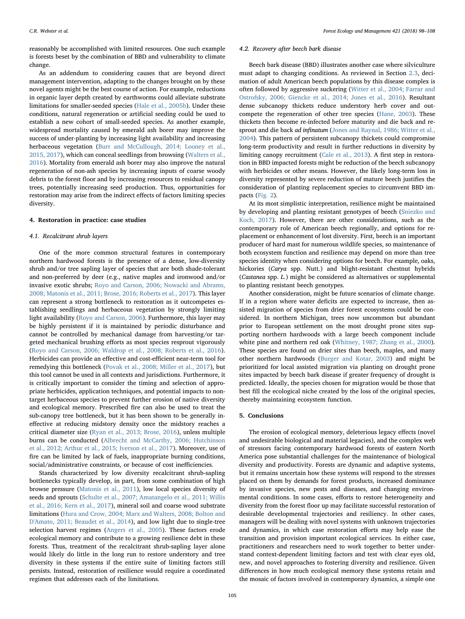reasonably be accomplished with limited resources. One such example is forests beset by the combination of BBD and vulnerability to climate change.

As an addendum to considering causes that are beyond direct management intervention, adapting to the changes brought on by these novel agents might be the best course of action. For example, reductions in organic layer depth created by earthworms could alleviate substrate limitations for smaller-seeded species [\(Hale et al., 2005b\)](#page-9-24). Under these conditions, natural regeneration or artificial seeding could be used to establish a new cohort of small-seeded species. As another example, widespread mortality caused by emerald ash borer may improve the success of under-planting by increasing light availability and increasing herbaceous vegetation ([Burr and McCullough, 2014; Looney et al.,](#page-8-32) [2015, 2017\)](#page-8-32), which can conceal seedlings from browsing ([Walters et al.,](#page-10-10) [2016\)](#page-10-10). Mortality from emerald ash borer may also improve the natural regeneration of non-ash species by increasing inputs of coarse woody debris to the forest floor and by increasing resources to residual canopy trees, potentially increasing seed production. Thus, opportunities for restoration may arise from the indirect effects of factors limiting species diversity.

# 4. Restoration in practice: case studies

# 4.1. Recalcitrant shrub layers

One of the more common structural features in contemporary northern hardwood forests is the presence of a dense, low-diversity shrub and/or tree sapling layer of species that are both shade-tolerant and non-preferred by deer (e.g., native maples and ironwood and/or invasive exotic shrubs; [Royo and Carson, 2006; Nowacki and Abrams,](#page-10-20) [2008; Matonis et al., 2011; Brose, 2016; Roberts et al., 2017\)](#page-10-20). This layer can represent a strong bottleneck to restoration as it outcompetes establishing seedlings and herbaceous vegetation by strongly limiting light availability ([Royo and Carson, 2006\)](#page-10-20). Furthermore, this layer may be highly persistent if it is maintained by periodic disturbance and cannot be controlled by mechanical damage from harvesting/or targeted mechanical brushing efforts as most species resprout vigorously ([Royo and Carson, 2006; Waldrop et al., 2008; Roberts et al., 2016](#page-10-20)). Herbicides can provide an effective and cost-efficient near-term tool for remedying this bottleneck ([Povak et al., 2008; Miller et al., 2017](#page-9-37)), but this tool cannot be used in all contexts and jurisdictions. Furthermore, it is critically important to consider the timing and selection of appropriate herbicides, application techniques, and potential impacts to nontarget herbaceous species to prevent further erosion of native diversity and ecological memory. Prescribed fire can also be used to treat the sub-canopy tree bottleneck, but it has been shown to be generally ineffective at reducing midstory density once the midstory reaches a critical diameter size ([Ryan et al., 2013; Brose, 2016\)](#page-10-28), unless multiple burns can be conducted ([Albrecht and McCarthy, 2006; Hutchinson](#page-8-33) [et al., 2012; Arthur et al., 2015; Iverson et al., 2017\)](#page-8-33). Moreover, use of fire can be limited by lack of fuels, inappropriate burning conditions, social/administrative constraints, or because of cost inefficiencies.

Stands characterized by low diversity recalcitrant shrub-sapling bottlenecks typically develop, in part, from some combination of high browse pressure ([Matonis et al., 2011](#page-9-16)), low local species diversity of seeds and sprouts [\(Schulte et al., 2007; Amatangelo et al., 2011; Willis](#page-10-29) [et al., 2016; Kern et al., 2017](#page-10-29)), mineral soil and coarse wood substrate limitations ([Hura and Crow, 2004; Marx and Walters, 2008; Bolton and](#page-9-38) [D'Amato, 2011; Beaudet et al., 2014\)](#page-9-38), and low light due to single-tree selection harvest regimes ([Angers et al., 2005\)](#page-8-34). These factors erode ecological memory and contribute to a growing resilience debt in these forests. Thus, treatment of the recalcitrant shrub-sapling layer alone would likely do little in the long run to restore understory and tree diversity in these systems if the entire suite of limiting factors still persists. Instead, restoration of resilience would require a coordinated regimen that addresses each of the limitations.

### 4.2. Recovery after beech bark disease

Beech bark disease (BBD) illustrates another case where silviculture must adapt to changing conditions. As reviewed in Section [2.3](#page-3-0), decimation of adult American beech populations by this disease complex is often followed by aggressive suckering ([Witter et al., 2004; Farrar and](#page-10-30) [Ostrofsky, 2006; Giencke et al., 2014; Jones et al., 2016\)](#page-10-30). Resultant dense subcanopy thickets reduce understory herb cover and outcompete the regeneration of other tree species ([Hane, 2003](#page-9-20)). These thickets then become re-infected before maturity and die back and resprout and die back ad infinatum [\(Jones and Raynal, 1986; Witter et al.,](#page-9-39) [2004\)](#page-9-39). This pattern of persistent subcanopy thickets could compromise long-term productivity and result in further reductions in diversity by limiting canopy recruitment [\(Cale et al., 2013](#page-8-35)). A first step in restoration in BBD impacted forests might be reduction of the beech subcanopy with herbicides or other means. However, the likely long-term loss in diversity represented by severe reduction of mature beech justifies the consideration of planting replacement species to circumvent BBD impacts [\(Fig. 2\)](#page-5-0).

At its most simplistic interpretation, resilience might be maintained by developing and planting resistant genotypes of beech [\(Sniezko and](#page-10-31) [Koch, 2017\)](#page-10-31). However, there are other considerations, such as the contemporary role of American beech regionally, and options for replacement or enhancement of lost diversity. First, beech is an important producer of hard mast for numerous wildlife species, so maintenance of both ecosystem function and resilience may depend on more than tree species identity when considering options for beech. For example, oaks, hickories (Carya spp. Nutt.) and blight-resistant chestnut hybrids (Castanea spp. L.) might be considered as alternatives or supplemental to planting resistant beech genotypes.

Another consideration, might be future scenarios of climate change. If in a region where water deficits are expected to increase, then assisted migration of species from drier forest ecosystems could be considered. In northern Michigan, trees now uncommon but abundant prior to European settlement on the most drought prone sites supporting northern hardwoods with a large beech component include white pine and northern red oak [\(Whitney, 1987; Zhang et al., 2000](#page-10-32)). These species are found on drier sites than beech, maples, and many other northern hardwoods ([Burger and Kotar, 2003\)](#page-8-36) and might be prioritized for local assisted migration via planting on drought prone sites impacted by beech bark disease if greater frequency of drought is predicted. Ideally, the species chosen for migration would be those that best fill the ecological niche created by the loss of the original species, thereby maintaining ecosystem function.

# 5. Conclusions

The erosion of ecological memory, deleterious legacy effects (novel and undesirable biological and material legacies), and the complex web of stressors facing contemporary hardwood forests of eastern North America pose substantial challenges for the maintenance of biological diversity and productivity. Forests are dynamic and adaptive systems, but it remains uncertain how these systems will respond to the stresses placed on them by demands for forest products, increased dominance by invasive species, new pests and diseases, and changing environmental conditions. In some cases, efforts to restore heterogeneity and diversity from the forest floor up may facilitate successful restoration of desirable developmental trajectories and resiliency. In other cases, managers will be dealing with novel systems with unknown trajectories and dynamics, in which case restoration efforts may help ease the transition and provision important ecological services. In either case, practitioners and researchers need to work together to better understand context-dependent limiting factors and test with clear eyes old, new, and novel approaches to fostering diversity and resilience. Given differences in how much ecological memory these systems retain and the mosaic of factors involved in contemporary dynamics, a simple one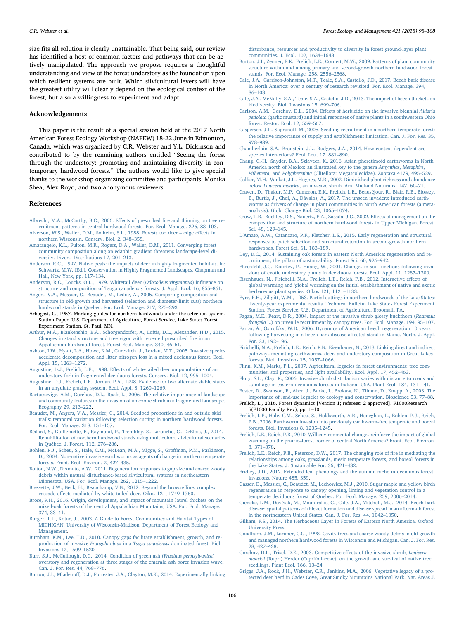size fits all solution is clearly unattainable. That being said, our review has identified a host of common factors and pathways that can be actively manipulated. The approach we propose requires a thoughtful understanding and view of the forest understory as the foundation upon which resilient systems are built. Which silvicultural levers will have the greatest utility will clearly depend on the ecological context of the forest, but also a willingness to experiment and adapt.

# Acknowledgements

This paper is the result of a special session held at the 2017 North American Forest Ecology Workshop (NAFEW) 18-22 June in Edmonton, Canada, which was organized by C.R. Webster and Y.L. Dickinson and contributed to by the remaining authors entitled "Seeing the forest through the understory: promoting and maintaining diversity in contemporary hardwood forests." The authors would like to give special thanks to the workshop organizing committee and participants, Monika Shea, Alex Royo, and two anonymous reviewers.

### References

- <span id="page-8-33"></span>[Albrecht, M.A., McCarthy, B.C., 2006. E](http://refhub.elsevier.com/S0378-1127(17)31661-4/h0005)ffects of prescribed fire and thinning on tree re[cruitment patterns in central hardwood forests. For. Ecol. Manage. 226, 88](http://refhub.elsevier.com/S0378-1127(17)31661-4/h0005)–103.
- <span id="page-8-22"></span>[Alverson, W.S., Waller, D.M., Solheim, S.L., 1988. Forests too deer](http://refhub.elsevier.com/S0378-1127(17)31661-4/h0010) – edge effects in [northern Wisconsin. Conserv. Biol. 2, 348](http://refhub.elsevier.com/S0378-1127(17)31661-4/h0010)–358.
- [Amatangelo, K.L., Fulton, M.R., Rogers, D.A., Waller, D.M., 2011. Converging forest](http://refhub.elsevier.com/S0378-1127(17)31661-4/h0015) [community composition along an edaphic gradient threatens landscape-level di](http://refhub.elsevier.com/S0378-1127(17)31661-4/h0015)[versity. Divers. Distributions 17, 201](http://refhub.elsevier.com/S0378-1127(17)31661-4/h0015)–213.
- <span id="page-8-6"></span>[Anderson, R.C., 1997. Native pests: the impacts of deer in highly fragmented habitats. In:](http://refhub.elsevier.com/S0378-1127(17)31661-4/h0020) [Schwartz, M.W. \(Ed.\), Conservation in Highly Fragmented Landscapes. Chapman and](http://refhub.elsevier.com/S0378-1127(17)31661-4/h0020) [Hall, New York, pp. 117](http://refhub.elsevier.com/S0378-1127(17)31661-4/h0020)–134.
- <span id="page-8-8"></span>[Anderson, R.C., Loucks, O.L., 1979. Whitetail deer \(](http://refhub.elsevier.com/S0378-1127(17)31661-4/h0025)Odocoileus virginianus) influence on [structure and composition of Tsuga canadensis forests. J. Appl. Ecol. 16, 855](http://refhub.elsevier.com/S0378-1127(17)31661-4/h0025)–861.
- <span id="page-8-34"></span>[Angers, V.A., Messier, C., Beaudet, M., Leduc, A., 2005. Comparing composition and](http://refhub.elsevier.com/S0378-1127(17)31661-4/h0030) [structure in old-growth and harvested \(selection and diameter-limit cuts\) northern](http://refhub.elsevier.com/S0378-1127(17)31661-4/h0030) [hardwood stands in Quebec. For. Ecol. Manage. 217, 275](http://refhub.elsevier.com/S0378-1127(17)31661-4/h0030)–293.
- Arbogast, C., 1957. Marking guides for northern hardwoods under the selection system. Station Paper. U.S. Department of Agriculture, Forest Service, Lake States Forest Experiment Station, St. Paul, MN.
- [Arthur, M.A., Blankenship, B.A., Schorgendorfer, A., Loftis, D.L., Alexander, H.D., 2015.](http://refhub.elsevier.com/S0378-1127(17)31661-4/h0040) [Changes in stand structure and tree vigor with repeated prescribed](http://refhub.elsevier.com/S0378-1127(17)31661-4/h0040) fire in an [Appalachian hardwood forest. Forest Ecol. Manage. 340, 46](http://refhub.elsevier.com/S0378-1127(17)31661-4/h0040)–61.
- <span id="page-8-16"></span>[Ashton, I.W., Hyatt, L.A., Howe, K.M., Gurevitch, J., Lerdau, M.T., 2005. Invasive species](http://refhub.elsevier.com/S0378-1127(17)31661-4/h0045) [accelerate decomposition and litter nitrogen loss in a mixed deciduous forest. Ecol.](http://refhub.elsevier.com/S0378-1127(17)31661-4/h0045) [Appl. 15, 1263](http://refhub.elsevier.com/S0378-1127(17)31661-4/h0045)–1272.
- <span id="page-8-7"></span>Augustine, D.J., Frelich, L.E., 1998. Eff[ects of white-tailed deer on populations of an](http://refhub.elsevier.com/S0378-1127(17)31661-4/h0050) [understory forb in fragmented deciduous forests. Conserv. Biol. 12, 995](http://refhub.elsevier.com/S0378-1127(17)31661-4/h0050)–1004.
- <span id="page-8-19"></span>[Augustine, D.J., Frelich, L.E., Jordan, P.A., 1998. Evidence for two alternate stable states](http://refhub.elsevier.com/S0378-1127(17)31661-4/h0055) [in an ungulate grazing system. Ecol. Appl. 8, 1260](http://refhub.elsevier.com/S0378-1127(17)31661-4/h0055)–1269.
- <span id="page-8-14"></span>[Bartuszevige, A.M., Gorchov, D.L., Raab, L., 2006. The relative importance of landscape](http://refhub.elsevier.com/S0378-1127(17)31661-4/h0060) [and community features in the invasion of an exotic shrub in a fragmented landscape.](http://refhub.elsevier.com/S0378-1127(17)31661-4/h0060) [Ecography 29, 213](http://refhub.elsevier.com/S0378-1127(17)31661-4/h0060)–222.
- [Beaudet, M., Angers, V.A., Messier, C., 2014. Seedbed proportions in and outside skid](http://refhub.elsevier.com/S0378-1127(17)31661-4/h0065) [trails: temporal variation following selection cutting in northern hardwood forests.](http://refhub.elsevier.com/S0378-1127(17)31661-4/h0065) [For. Ecol. Manage. 318, 151](http://refhub.elsevier.com/S0378-1127(17)31661-4/h0065)–157.
- [Bédard, S., Guillemette, F., Raymond, P., Tremblay, S., Larouche, C., DeBlois, J., 2014.](http://refhub.elsevier.com/S0378-1127(17)31661-4/h0070) [Rehabilitation of northern hardwood stands using multicohort silvicultural scenarios](http://refhub.elsevier.com/S0378-1127(17)31661-4/h0070) [in Québec. J. Forest. 112, 276](http://refhub.elsevier.com/S0378-1127(17)31661-4/h0070)–286.
- <span id="page-8-31"></span>[Bohlen, P.J., Scheu, S., Hale, C.M., McLean, M.A., Migge, S., Gro](http://refhub.elsevier.com/S0378-1127(17)31661-4/h0075)ffman, P.M., Parkinson, [D., 2004. Non-native invasive earthworms as agents of change in northern temperate](http://refhub.elsevier.com/S0378-1127(17)31661-4/h0075) [forests. Front. Ecol. Environ. 2, 427](http://refhub.elsevier.com/S0378-1127(17)31661-4/h0075)–435.
- [Bolton, N.W., D'Amato, A.W., 2011. Regeneration responses to gap size and coarse woody](http://refhub.elsevier.com/S0378-1127(17)31661-4/h0080) [debris within natural disturbance-based silvicultural systems in northeastern](http://refhub.elsevier.com/S0378-1127(17)31661-4/h0080) [Minnesota, USA. For. Ecol. Manage. 262, 1215](http://refhub.elsevier.com/S0378-1127(17)31661-4/h0080)–1222.
- <span id="page-8-9"></span>Bressette, J.W., [Beck, H., Beauchamp, V.B., 2012. Beyond the browse line: complex](http://refhub.elsevier.com/S0378-1127(17)31661-4/h0085) cascade eff[ects mediated by white-tailed deer. Oikos 121, 1749](http://refhub.elsevier.com/S0378-1127(17)31661-4/h0085)–1760.
- [Brose, P.H., 2016. Origin, development, and impact of mountain laurel thickets on the](http://refhub.elsevier.com/S0378-1127(17)31661-4/h0090) [mixed-oak forests of the central Appalachian Mountains, USA. For. Ecol. Manage.](http://refhub.elsevier.com/S0378-1127(17)31661-4/h0090) [374, 33](http://refhub.elsevier.com/S0378-1127(17)31661-4/h0090)–41.
- <span id="page-8-36"></span>[Burger, T.L., Kotar, J., 2003. A Guide to Forest Communities and Habitat Types of](http://refhub.elsevier.com/S0378-1127(17)31661-4/h0095) [MICHIGAN. University of Wisconsin-Madison, Department of Forest Ecology and](http://refhub.elsevier.com/S0378-1127(17)31661-4/h0095) [Management](http://refhub.elsevier.com/S0378-1127(17)31661-4/h0095).
- [Burnham, K.M., Lee, T.D., 2010. Canopy gaps facilitate establishment, growth, and re](http://refhub.elsevier.com/S0378-1127(17)31661-4/h0100)production of invasive Frangula alnus in a Tsuga canadensis [dominated forest. Biol.](http://refhub.elsevier.com/S0378-1127(17)31661-4/h0100) [Invasions 12, 1509](http://refhub.elsevier.com/S0378-1127(17)31661-4/h0100)–1520.
- <span id="page-8-32"></span>[Burr, S.J., McCullough, D.G., 2014. Condition of green ash \(](http://refhub.elsevier.com/S0378-1127(17)31661-4/h0105)Fraxinus pennsylvanica) [overstory and regeneration at three stages of the emerald ash borer invasion wave.](http://refhub.elsevier.com/S0378-1127(17)31661-4/h0105) [Can. J. For. Res. 44, 768](http://refhub.elsevier.com/S0378-1127(17)31661-4/h0105)–776.
- <span id="page-8-23"></span>Burton, J.I., Mladenoff[, D.J., Forrester, J.A., Clayton, M.K., 2014. Experimentally linking](http://refhub.elsevier.com/S0378-1127(17)31661-4/h0110)

[disturbance, resources and productivity to diversity in forest ground-layer plant](http://refhub.elsevier.com/S0378-1127(17)31661-4/h0110) [communities. J. Ecol. 102, 1634](http://refhub.elsevier.com/S0378-1127(17)31661-4/h0110)–1648.

- [Burton, J.I., Zenner, E.K., Frelich, L.E., Cornett, M.W., 2009. Patterns of plant community](http://refhub.elsevier.com/S0378-1127(17)31661-4/h0115) [structure within and among primary and second-growth northern hardwood forest](http://refhub.elsevier.com/S0378-1127(17)31661-4/h0115) [stands. For. Ecol. Manage. 258, 2556](http://refhub.elsevier.com/S0378-1127(17)31661-4/h0115)–2568.
- <span id="page-8-11"></span>[Cale, J.A., Garrison-Johnston, M.T., Teale, S.A., Castello, J.D., 2017. Beech bark disease](http://refhub.elsevier.com/S0378-1127(17)31661-4/h0120) [in North America: over a century of research revisited. For. Ecol. Manage. 394,](http://refhub.elsevier.com/S0378-1127(17)31661-4/h0120) 86–[103.](http://refhub.elsevier.com/S0378-1127(17)31661-4/h0120)
- <span id="page-8-35"></span>[Cale, J.A., McNulty, S.A., Teale, S.A., Castello, J.D., 2013. The impact of beech thickets on](http://refhub.elsevier.com/S0378-1127(17)31661-4/h0125) [biodiversity. Biol. Invasions 15, 699](http://refhub.elsevier.com/S0378-1127(17)31661-4/h0125)–706.
- <span id="page-8-30"></span>Carlson, A.M., Gorchov, D.L., 2004. Eff[ects of herbicide on the invasive biennial](http://refhub.elsevier.com/S0378-1127(17)31661-4/h0130) Alliaria petiolata [\(garlic mustard\) and initial responses of native plants in a southwestern Ohio](http://refhub.elsevier.com/S0378-1127(17)31661-4/h0130) [forest. Restor. Ecol. 12, 559](http://refhub.elsevier.com/S0378-1127(17)31661-4/h0130)–567.
- <span id="page-8-29"></span>Caspersen, J.P., Saprunoff[, M., 2005. Seedling recruitment in a northern temperate forest:](http://refhub.elsevier.com/S0378-1127(17)31661-4/h0135) [the relative importance of supply and establishment limitation. Can. J. For. Res. 35,](http://refhub.elsevier.com/S0378-1127(17)31661-4/h0135) 978–[989](http://refhub.elsevier.com/S0378-1127(17)31661-4/h0135).
- <span id="page-8-18"></span>[Chamberlain, S.A., Bronstein, J.L., Rudgers, J.A., 2014. How context dependent are](http://refhub.elsevier.com/S0378-1127(17)31661-4/h0140) [species interactions? Ecol. Lett. 17, 881](http://refhub.elsevier.com/S0378-1127(17)31661-4/h0140)–890.
- [Chang, C.-H., Snyder, B.A., Szlavecz, K., 2016. Asian pheretimoid earthworms in North](http://refhub.elsevier.com/S0378-1127(17)31661-4/h0145) [America north of Mexico: an illustrated key to the genera](http://refhub.elsevier.com/S0378-1127(17)31661-4/h0145) Amynthas, Metaphire, Pithemera, and Polypheretima [\(Clitellata: Megascolecidae\). Zootaxa 4179, 495](http://refhub.elsevier.com/S0378-1127(17)31661-4/h0145)–529.
- <span id="page-8-15"></span>[Collier, M.H., Vankat, J.L., Hughes, M.R., 2002. Diminished plant richness and abundance](http://refhub.elsevier.com/S0378-1127(17)31661-4/h0150) below Lonicera maackii[, an invasive shrub. Am. Midland Naturalist 147, 60](http://refhub.elsevier.com/S0378-1127(17)31661-4/h0150)–71.
- Craven, D., [Thakur, M.P., Cameron, E.K., Frelich, L.E., Beauséjour, R., Blair, R.B., Blossey,](http://refhub.elsevier.com/S0378-1127(17)31661-4/h0155) [B., Burtis, J., Choi, A., Dávalos, A., 2017. The unseen invaders: introduced earth](http://refhub.elsevier.com/S0378-1127(17)31661-4/h0155)[worms as drivers of change in plant communities in North American forests \(a meta](http://refhub.elsevier.com/S0378-1127(17)31661-4/h0155)[analysis\). Glob. Change Biol. 23, 1065](http://refhub.elsevier.com/S0378-1127(17)31661-4/h0155)–1074.
- <span id="page-8-2"></span>[Crow, T.R., Buckley, D.S., Nauertz, E.A., Zasada, J.C., 2002. E](http://refhub.elsevier.com/S0378-1127(17)31661-4/h0160)ffects of management on the [composition and structure of northern hardwood forests in Upper Michigan. Forest](http://refhub.elsevier.com/S0378-1127(17)31661-4/h0160) [Sci. 48, 129](http://refhub.elsevier.com/S0378-1127(17)31661-4/h0160)–145.
- [D'Amato, A.W., Catanzaro, P.F., Fletcher, L.S., 2015. Early regeneration and structural](http://refhub.elsevier.com/S0378-1127(17)31661-4/h0165) [responses to patch selection and structural retention in second-growth northern](http://refhub.elsevier.com/S0378-1127(17)31661-4/h0165) [hardwoods. Forest Sci. 61, 183](http://refhub.elsevier.com/S0378-1127(17)31661-4/h0165)–189.
- <span id="page-8-5"></span>[Dey, D.C., 2014. Sustaining oak forests in eastern North America: regeneration and re](http://refhub.elsevier.com/S0378-1127(17)31661-4/h0170)[cruitment, the pillars of sustainability. Forest Sci. 60, 926](http://refhub.elsevier.com/S0378-1127(17)31661-4/h0170)–942.
- <span id="page-8-17"></span>[Ehrenfeld, J.G., Kourtev, P., Huang, W., 2001. Changes in soil functions following inva](http://refhub.elsevier.com/S0378-1127(17)31661-4/h0175)[sions of exotic understory plants in deciduous forests. Ecol. Appl. 11, 1287](http://refhub.elsevier.com/S0378-1127(17)31661-4/h0175)–1300.
- <span id="page-8-20"></span>[Eisenhauer, N., Fisichelli, N.A., Frelich, L.E., Reich, P.B., 2012. Interactive e](http://refhub.elsevier.com/S0378-1127(17)31661-4/h0180)ffects of global warming and 'global worming'[on the initial establishment of native and exotic](http://refhub.elsevier.com/S0378-1127(17)31661-4/h0180) [herbaceous plant species. Oikos 121, 1121](http://refhub.elsevier.com/S0378-1127(17)31661-4/h0180)–1133.
- <span id="page-8-3"></span>[Eyre, F.H., Zillgitt, W.M., 1953. Partial cuttings in northern hardwoods of the Lake States:](http://refhub.elsevier.com/S0378-1127(17)31661-4/h0185) [Twenty-year experimental results. Technical Bulletin Lake States Forest Experiment](http://refhub.elsevier.com/S0378-1127(17)31661-4/h0185) [Station, Forest Service, U.S. Department of Agriculture, Broomall, PA](http://refhub.elsevier.com/S0378-1127(17)31661-4/h0185).
- <span id="page-8-24"></span>[Fagan, M.E., Peart, D.R., 2004. Impact of the invasive shrub glossy buckthorn \(](http://refhub.elsevier.com/S0378-1127(17)31661-4/h0190)Rhamnus frangula [L.\) on juvenile recruitment by canopy trees. For. Ecol. Manage. 194, 95](http://refhub.elsevier.com/S0378-1127(17)31661-4/h0190)–107.
- [Farrar, A., Ostrofsky, W.D., 2006. Dynamics of American beech regeneration 10 years](http://refhub.elsevier.com/S0378-1127(17)31661-4/h0195) [following harvesting in a beech bark disease-a](http://refhub.elsevier.com/S0378-1127(17)31661-4/h0195)ffected stand in Maine. North. J. Appl. [For. 23, 192](http://refhub.elsevier.com/S0378-1127(17)31661-4/h0195)–196.
- <span id="page-8-21"></span>[Fisichelli, N.A., Frelich, L.E., Reich, P.B., Eisenhauer, N., 2013. Linking direct and indirect](http://refhub.elsevier.com/S0378-1127(17)31661-4/h0200) [pathways mediating earthworms, deer, and understory composition in Great Lakes](http://refhub.elsevier.com/S0378-1127(17)31661-4/h0200) [forests. Biol. Invasions 15, 1057](http://refhub.elsevier.com/S0378-1127(17)31661-4/h0200)–1066.
- <span id="page-8-1"></span>[Flinn, K.M., Marks, P.L., 2007. Agricultural legacies in forest environments: tree com](http://refhub.elsevier.com/S0378-1127(17)31661-4/h0205)[munities, soil properties, and light availability. Ecol. Appl. 17, 452](http://refhub.elsevier.com/S0378-1127(17)31661-4/h0205)–463.
- [Flory, S.L., Clay, K., 2006. Invasive shrub distribution varies with distance to roads and](http://refhub.elsevier.com/S0378-1127(17)31661-4/h0210) [stand age in eastern deciduous forests in Indiana, USA. Plant Ecol. 184, 131](http://refhub.elsevier.com/S0378-1127(17)31661-4/h0210)–141.
- <span id="page-8-28"></span>[Foster, D., Swanson, F., Aber, J., Burke, I., Brokaw, N., Tilman, D., Knapp, A., 2003. The](http://refhub.elsevier.com/S0378-1127(17)31661-4/h0215) [importance of land-use legacies to ecology and conservation. Bioscience 53, 77](http://refhub.elsevier.com/S0378-1127(17)31661-4/h0215)–88.
- <span id="page-8-26"></span>Frelich, L., 2016. Forest dynamics [Version 1; referees: 2 approved]. F1000Research 5(F1000 Faculty Rev), pp. 1–10. [Frelich, L.E., Hale, C.M., Scheu, S., Holdsworth, A.R., Heneghan, L., Bohlen, P.J., Reich,](http://refhub.elsevier.com/S0378-1127(17)31661-4/h0225)
- <span id="page-8-12"></span>[P.B., 2006. Earthworm invasion into previously earthworm-free temperate and boreal](http://refhub.elsevier.com/S0378-1127(17)31661-4/h0225) [forests. Biol. Invasions 8, 1235](http://refhub.elsevier.com/S0378-1127(17)31661-4/h0225)–1245.
- <span id="page-8-25"></span>[Frelich, L.E., Reich, P.B., 2010. Will environmental changes reinforce the impact of global](http://refhub.elsevier.com/S0378-1127(17)31661-4/h0230) warming on the prairie–[forest border of central North America? Front. Ecol. Environ.](http://refhub.elsevier.com/S0378-1127(17)31661-4/h0230) [8, 371](http://refhub.elsevier.com/S0378-1127(17)31661-4/h0230)–378.
- <span id="page-8-27"></span>Frelich, L.E., [Reich, P.B., Peterson, D.W., 2017. The changing role of](http://refhub.elsevier.com/S0378-1127(17)31661-4/h0235) fire in mediating the [relationships among oaks, grasslands, mesic temperate forests, and boreal forests in](http://refhub.elsevier.com/S0378-1127(17)31661-4/h0235) [the Lake States. J. Sustainable For. 36, 421](http://refhub.elsevier.com/S0378-1127(17)31661-4/h0235)–432.
- <span id="page-8-13"></span>[Fridley, J.D., 2012. Extended leaf phenology and the autumn niche in deciduous forest](http://refhub.elsevier.com/S0378-1127(17)31661-4/h0240) [invasions. Nature 485, 359.](http://refhub.elsevier.com/S0378-1127(17)31661-4/h0240)
- [Gasser, D., Messier, C., Beaudet, M., Lechowicz, M.J., 2010. Sugar maple and yellow birch](http://refhub.elsevier.com/S0378-1127(17)31661-4/h0245) [regeneration in response to canopy opening, liming and vegetation control in a](http://refhub.elsevier.com/S0378-1127(17)31661-4/h0245) [temperate deciduous forest of Quebec. For. Ecol. Manage. 259, 2006](http://refhub.elsevier.com/S0378-1127(17)31661-4/h0245)–2014.
- <span id="page-8-10"></span>Giencke, L.M., Dovč[iak, M., Mountrakis, G., Cale, J.A., Mitchell, M.J., 2014. Beech bark](http://refhub.elsevier.com/S0378-1127(17)31661-4/h0250) [disease: spatial patterns of thicket formation and disease spread in an aftermath forest](http://refhub.elsevier.com/S0378-1127(17)31661-4/h0250) [in the northeastern United States. Can. J. For. Res. 44, 1042](http://refhub.elsevier.com/S0378-1127(17)31661-4/h0250)–1050.
- <span id="page-8-0"></span>[Gilliam, F.S., 2014. The Herbaceous Layer in Forests of Eastern North America. Oxford](http://refhub.elsevier.com/S0378-1127(17)31661-4/h0255) [University Press](http://refhub.elsevier.com/S0378-1127(17)31661-4/h0255).
- <span id="page-8-4"></span>[Goodburn, J.M., Lorimer, C.G., 1998. Cavity trees and coarse woody debris in old-growth](http://refhub.elsevier.com/S0378-1127(17)31661-4/h0260) [and managed northern hardwood forests in Wisconsin and Michigan. Can. J. For. Res.](http://refhub.elsevier.com/S0378-1127(17)31661-4/h0260) [28, 427](http://refhub.elsevier.com/S0378-1127(17)31661-4/h0260)–438.
- [Gorchov, D.L., Trisel, D.E., 2003. Competitive e](http://refhub.elsevier.com/S0378-1127(17)31661-4/h0265)ffects of the invasive shrub, Lonicera maackii [\(Rupr.\) Herder \(Caprifoliaceae\), on the growth and survival of native tree](http://refhub.elsevier.com/S0378-1127(17)31661-4/h0265) [seedlings. Plant Ecol. 166, 13](http://refhub.elsevier.com/S0378-1127(17)31661-4/h0265)–24.
- [Griggs, J.A., Rock, J.H., Webster, C.R., Jenkins, M.A., 2006. Vegetative legacy of a pro](http://refhub.elsevier.com/S0378-1127(17)31661-4/h0270)[tected deer herd in Cades Cove, Great Smoky Mountains National Park. Nat. Areas J.](http://refhub.elsevier.com/S0378-1127(17)31661-4/h0270)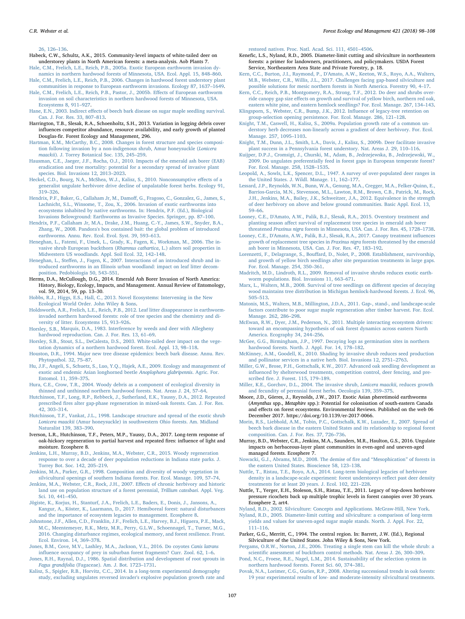#### [26, 126](http://refhub.elsevier.com/S0378-1127(17)31661-4/h0270)–136.

- Habeck, C.W., Schultz, A.K., 2015. Community-level impacts of white-tailed deer on understorey plants in North American forests: a meta-analysis. Aob Plants 7.
- <span id="page-9-26"></span>[Hale, C.M., Frelich, L.E., Reich, P.B., 2005a. Exotic European earthworm invasion dy](http://refhub.elsevier.com/S0378-1127(17)31661-4/h0280)[namics in northern hardwood forests of Minnesota, USA. Ecol. Appl. 15, 848](http://refhub.elsevier.com/S0378-1127(17)31661-4/h0280)–860.
- <span id="page-9-25"></span>[Hale, C.M., Frelich, L.E., Reich, P.B., 2006. Changes in hardwood forest understory plant](http://refhub.elsevier.com/S0378-1127(17)31661-4/h0285) [communities in response to European earthworm invasions. Ecology 87, 1637](http://refhub.elsevier.com/S0378-1127(17)31661-4/h0285)–1649. [Hale, C.M., Frelich, L.E., Reich, P.B., Pastor, J., 2005b. E](http://refhub.elsevier.com/S0378-1127(17)31661-4/h0290)ffects of European earthworm
- <span id="page-9-24"></span>[invasion on soil characteristics in northern hardwood forests of Minnesota, USA.](http://refhub.elsevier.com/S0378-1127(17)31661-4/h0290) [Ecosystems 8, 911](http://refhub.elsevier.com/S0378-1127(17)31661-4/h0290)–927.
- <span id="page-9-20"></span>Hane, E.N., 2003. Indirect eff[ects of beech bark disease on sugar maple seedling survival.](http://refhub.elsevier.com/S0378-1127(17)31661-4/h0295) [Can. J. For. Res. 33, 807](http://refhub.elsevier.com/S0378-1127(17)31661-4/h0295)–813.
- <span id="page-9-34"></span>Harrington, T.B., Slesak, R.A., Schoenholtz, S.H., 2013. Variation in logging debris cover influences competitor abundance, resource availability, and early growth of planted Douglas-fir. Forest Ecology and Management, 296.
- [Hartman, K.M., McCarthy, B.C., 2008. Changes in forest structure and species composi](http://refhub.elsevier.com/S0378-1127(17)31661-4/h0305)[tion following invasion by a non-indigenous shrub, Amur honeysuckle \(](http://refhub.elsevier.com/S0378-1127(17)31661-4/h0305)Lonicera maackii[\). J. Torrey Botanical Soc. 135, 245](http://refhub.elsevier.com/S0378-1127(17)31661-4/h0305)–259.
- [Hausman, C.E., Jaeger, J.F., Rocha, O.J., 2010. Impacts of the emerald ash borer \(EAB\)](http://refhub.elsevier.com/S0378-1127(17)31661-4/h0310) [eradication and tree mortality: potential for a secondary spread of invasive plant](http://refhub.elsevier.com/S0378-1127(17)31661-4/h0310) [species. Biol. Invasions 12, 2013](http://refhub.elsevier.com/S0378-1127(17)31661-4/h0310)–2023.
- <span id="page-9-12"></span>[Heckel, C.D., Bourg, N.A., McShea, W.J., Kalisz, S., 2010. Nonconsumptive e](http://refhub.elsevier.com/S0378-1127(17)31661-4/h0315)ffects of a [generalist ungulate herbivore drive decline of unpalatable forest herbs. Ecology 91,](http://refhub.elsevier.com/S0378-1127(17)31661-4/h0315) 319–[326](http://refhub.elsevier.com/S0378-1127(17)31661-4/h0315).
- [Hendrix, P.F., Baker, G., Callaham Jr, M., Damo](http://refhub.elsevier.com/S0378-1127(17)31661-4/h0320)ff, G., Fragoso, C., Gonzalez, G., James, S., [Lachnicht, S.L., Winsome, T., Zou, X., 2006. Invasion of exotic earthworms into](http://refhub.elsevier.com/S0378-1127(17)31661-4/h0320) [ecosystems inhabited by native earthworms. In: Hendrix, P.F. \(Ed.\), Biological](http://refhub.elsevier.com/S0378-1127(17)31661-4/h0320) [Invasions Belowground: Earthworms as Invasive Species. Springer, pp. 87](http://refhub.elsevier.com/S0378-1127(17)31661-4/h0320)–100.
- <span id="page-9-22"></span>[Hendrix, P.F., Callaham Jr, M.A., Drake, J.M., Huang, C.-Y., James, S.W., Snyder, B.A.,](http://refhub.elsevier.com/S0378-1127(17)31661-4/h0325) [Zhang, W., 2008. Pandora's box contained bait: the global problem of introduced](http://refhub.elsevier.com/S0378-1127(17)31661-4/h0325) [earthworms. Annu. Rev. Ecol. Evol. Syst. 39, 593](http://refhub.elsevier.com/S0378-1127(17)31661-4/h0325)–613.
- [Heneghan, L., Fatemi, F., Umek, L., Grady, K., Fagen, K., Workman, M., 2006. The in](http://refhub.elsevier.com/S0378-1127(17)31661-4/h0330)[vasive shrub European buckthorn \(](http://refhub.elsevier.com/S0378-1127(17)31661-4/h0330)Rhamnus cathartica, L.) alters soil properties in [Midwestern US woodlands. Appl. Soil Ecol. 32, 142](http://refhub.elsevier.com/S0378-1127(17)31661-4/h0330)–148.
- <span id="page-9-30"></span>Heneghan, L., Steff[en, J., Fagen, K., 2007. Interactions of an introduced shrub and in](http://refhub.elsevier.com/S0378-1127(17)31661-4/h0335)[troduced earthworms in an Illinois urban woodland: impact on leaf litter decom](http://refhub.elsevier.com/S0378-1127(17)31661-4/h0335)[position. Pedobiologia 50, 543](http://refhub.elsevier.com/S0378-1127(17)31661-4/h0335)–551.
- Herms, D.A., McCullough, D.G., 2014. Emerald Ash Borer Invasion of North America: History, Biology, Ecology, Impacts, and Management. Annual Review of Entomology, vol. 59, 2014, 59, pp. 13–30.
- <span id="page-9-1"></span>[Hobbs, R.J., Higgs, E.S., Hall, C., 2013. Novel Ecosystems: Intervening in the New](http://refhub.elsevier.com/S0378-1127(17)31661-4/h0345) [Ecological World Order. John Wiley & Sons](http://refhub.elsevier.com/S0378-1127(17)31661-4/h0345).
- <span id="page-9-23"></span>[Holdsworth, A.R., Frelich, L.E., Reich, P.B., 2012. Leaf litter disappearance in earthworm](http://refhub.elsevier.com/S0378-1127(17)31661-4/h0350)[invaded northern hardwood forests: role of tree species and the chemistry and di](http://refhub.elsevier.com/S0378-1127(17)31661-4/h0350)[versity of litter. Ecosystems 15, 913](http://refhub.elsevier.com/S0378-1127(17)31661-4/h0350)–926.
- <span id="page-9-14"></span>Horsley, S.B., [Marquis, D.A., 1983. Interference by weeds and deer with Allegheny](http://refhub.elsevier.com/S0378-1127(17)31661-4/h0355) [hardwood reproduction. Can. J. For. Res. 13, 61](http://refhub.elsevier.com/S0378-1127(17)31661-4/h0355)–69.
- <span id="page-9-15"></span>[Horsley, S.B., Stout, S.L., DeCalesta, D.S., 2003. White-tailed deer impact on the vege](http://refhub.elsevier.com/S0378-1127(17)31661-4/h0360)[tation dynamics of a northern hardwood forest. Ecol. Appl. 13, 98](http://refhub.elsevier.com/S0378-1127(17)31661-4/h0360)–118.
- <span id="page-9-19"></span>[Houston, D.R., 1994. Major new tree disease epidemics: beech bark disease. Annu. Rev.](http://refhub.elsevier.com/S0378-1127(17)31661-4/h0365) [Phytopathol. 32, 75](http://refhub.elsevier.com/S0378-1127(17)31661-4/h0365)–87.
- [Hu, J.F., Angeli, S., Schuetz, S., Luo, Y.Q., Hajek, A.E., 2009. Ecology and management of](http://refhub.elsevier.com/S0378-1127(17)31661-4/h0370) [exotic and endemic Asian longhorned beetle](http://refhub.elsevier.com/S0378-1127(17)31661-4/h0370) Anoplophora glabripennis. Agric. For. [Entomol. 11, 359](http://refhub.elsevier.com/S0378-1127(17)31661-4/h0370)–375.
- <span id="page-9-38"></span>[Hura, C.E., Crow, T.R., 2004. Woody debris as a component of ecological diversity in](http://refhub.elsevier.com/S0378-1127(17)31661-4/h0375) [thinned and unthinned northern hardwood forests. Nat. Areas J. 24, 57](http://refhub.elsevier.com/S0378-1127(17)31661-4/h0375)–64.
- [Hutchinson, T.F., Long, R.P., Rebbeck, J., Sutherland, E.K., Yaussy, D.A., 2012. Repeated](http://refhub.elsevier.com/S0378-1127(17)31661-4/h0380) prescribed fi[res alter gap-phase regeneration in mixed-oak forests. Can. J. For. Res.](http://refhub.elsevier.com/S0378-1127(17)31661-4/h0380) [42, 303](http://refhub.elsevier.com/S0378-1127(17)31661-4/h0380)–314.
- <span id="page-9-28"></span>[Hutchinson, T.F., Vankat, J.L., 1998. Landscape structure and spread of the exotic shrub](http://refhub.elsevier.com/S0378-1127(17)31661-4/h0385) Lonicera maackii [\(Amur honeysuckle\) in southwestern Ohio forests. Am. Midland](http://refhub.elsevier.com/S0378-1127(17)31661-4/h0385) [Naturalist 139, 383](http://refhub.elsevier.com/S0378-1127(17)31661-4/h0385)–390.
- Iverson, L.R., Hutchinson, T.F., Peters, M.P., Yaussy, D.A., 2017. Long-term response of oak-hickory regeneration to partial harvest and repeated fires: influence of light and moisture. Ecosphere 8.
- [Jenkins, L.H., Murray, B.D., Jenkins, M.A., Webster, C.R., 2015. Woody regeneration](http://refhub.elsevier.com/S0378-1127(17)31661-4/h0395) [response to over a decade of deer population reductions in Indiana state parks. J.](http://refhub.elsevier.com/S0378-1127(17)31661-4/h0395) [Torrey Bot. Soc. 142, 205](http://refhub.elsevier.com/S0378-1127(17)31661-4/h0395)–219.
- <span id="page-9-7"></span>[Jenkins, M.A., Parker, G.R., 1998. Composition and diversity of woody vegetation in](http://refhub.elsevier.com/S0378-1127(17)31661-4/h0400) [silvicultural openings of southern Indiana forests. For. Ecol. Manage. 109, 57](http://refhub.elsevier.com/S0378-1127(17)31661-4/h0400)–74.
- <span id="page-9-11"></span>[Jenkins, M.A., Webster, C.R., Rock, J.H., 2007. E](http://refhub.elsevier.com/S0378-1127(17)31661-4/h0405)ffects of chronic herbivory and historic [land use on population structure of a forest perennial,](http://refhub.elsevier.com/S0378-1127(17)31661-4/h0405) Trillium catesbaei. Appl. Veg. [Sci. 10, 441](http://refhub.elsevier.com/S0378-1127(17)31661-4/h0405)–450.
- <span id="page-9-35"></span>[Jõgiste, K., Korjus, H., Stanturf, J.A., Frelich, L.E., Baders, E., Donis, J., Jansons, A.,](http://refhub.elsevier.com/S0378-1127(17)31661-4/h0410) [Kangur, A., Köster, K., Laarmann, D., 2017. Hemiboreal forest: natural disturbances](http://refhub.elsevier.com/S0378-1127(17)31661-4/h0410) [and the importance of ecosystem legacies to management. Ecosphere 8.](http://refhub.elsevier.com/S0378-1127(17)31661-4/h0410)
- <span id="page-9-0"></span>[Johnstone, J.F., Allen, C.D., Franklin, J.F., Frelich, L.E., Harvey, B.J., Higuera, P.E., Mack,](http://refhub.elsevier.com/S0378-1127(17)31661-4/h0415) [M.C., Meentemeyer, R.K., Metz, M.R., Perry, G.L.W., Schoennagel, T., Turner, M.G.,](http://refhub.elsevier.com/S0378-1127(17)31661-4/h0415) [2016. Changing disturbance regimes, ecological memory, and forest resilience. Front.](http://refhub.elsevier.com/S0378-1127(17)31661-4/h0415) [Ecol. Environ. 14, 369](http://refhub.elsevier.com/S0378-1127(17)31661-4/h0415)–378.
- [Jones, B.M., Cove, M.V., Lashley, M.A., Jackson, V.L., 2016. Do coyotes](http://refhub.elsevier.com/S0378-1127(17)31661-4/h0420) Canis latrans infl[uence occupancy of prey in suburban forest fragments? Curr. Zool. 62, 1](http://refhub.elsevier.com/S0378-1127(17)31661-4/h0420)–6.
- <span id="page-9-39"></span>[Jones, R.H., Raynal, D.J., 1986. Spatial distribution and development of root sprouts in](http://refhub.elsevier.com/S0378-1127(17)31661-4/h0425) Fagus grandifolia [\(Fagaceae\). Am. J. Bot. 1723](http://refhub.elsevier.com/S0378-1127(17)31661-4/h0425)–1731.
- <span id="page-9-18"></span>[Kalisz, S., Spigler, R.B., Horvitz, C.C., 2014. In a long-term experimental demography](http://refhub.elsevier.com/S0378-1127(17)31661-4/h0430) [study, excluding ungulates reversed invader's explosive population growth rate and](http://refhub.elsevier.com/S0378-1127(17)31661-4/h0430)

[restored natives. Proc. Natl. Acad. Sci. 111, 4501](http://refhub.elsevier.com/S0378-1127(17)31661-4/h0430)–4506.

- <span id="page-9-8"></span>Kenefic, L.S., Nyland, R.D., 2005. Diameter-limit cutting and silviculture in northeastern forests: a primer for landowners, practitioners, and policymakers. USDA Forest Service, Northeastern Area State and Private Forestry, p. 18.
- <span id="page-9-4"></span>[Kern, C.C., Burton, J.I., Raymond, P., D'Amato, A.W., Keeton, W.S., Royo, A.A., Walters,](http://refhub.elsevier.com/S0378-1127(17)31661-4/h0440) [M.B., Webster, C.R., Willis, J.L., 2017. Challenges facing gap-based silviculture and](http://refhub.elsevier.com/S0378-1127(17)31661-4/h0440) [possible solutions for mesic northern forests in North America. Forestry 90, 4](http://refhub.elsevier.com/S0378-1127(17)31661-4/h0440)–17.
- <span id="page-9-32"></span>[Kern, C.C., Reich, P.B., Montgomery, R.A., Strong, T.F., 2012. Do deer and shrubs over](http://refhub.elsevier.com/S0378-1127(17)31661-4/h0445)ride canopy gap size eff[ects on growth and survival of yellow birch, northern red oak,](http://refhub.elsevier.com/S0378-1127(17)31661-4/h0445) [eastern white pine, and eastern hemlock seedlings? For. Ecol. Manage. 267, 134](http://refhub.elsevier.com/S0378-1127(17)31661-4/h0445)–143.
- [Klingsporn, S., Webster, C.R., Bump, J.K., 2012. In](http://refhub.elsevier.com/S0378-1127(17)31661-4/h0450)fluence of legacy-tree retention on [group-selection opening persistence. For. Ecol. Manage. 286, 121](http://refhub.elsevier.com/S0378-1127(17)31661-4/h0450)–128.
- [Knight, T.M., Caswell, H., Kalisz, S., 2009a. Population growth rate of a common un](http://refhub.elsevier.com/S0378-1127(17)31661-4/h0455)[derstory herb decreases non-linearly across a gradient of deer herbivory. For. Ecol.](http://refhub.elsevier.com/S0378-1127(17)31661-4/h0455) [Manage. 257, 1095](http://refhub.elsevier.com/S0378-1127(17)31661-4/h0455)–1103.
- <span id="page-9-17"></span>[Knight, T.M., Dunn, J.L., Smith, L.A., Davis, J., Kalisz, S., 2009b. Deer facilitate invasive](http://refhub.elsevier.com/S0378-1127(17)31661-4/h0460) [plant success in a Pennsylvania forest understory. Nat. Areas J. 29, 110](http://refhub.elsevier.com/S0378-1127(17)31661-4/h0460)–116.
- [Kuijper, D.P.J., Cromsigt, J., Churski, M., Adam, B., Jedrzejewska, B., Jedrzejewski, W.,](http://refhub.elsevier.com/S0378-1127(17)31661-4/h0465) [2009. Do ungulates preferentially feed in forest gaps in European temperate forest?](http://refhub.elsevier.com/S0378-1127(17)31661-4/h0465) [For. Ecol. Manage. 258, 1528](http://refhub.elsevier.com/S0378-1127(17)31661-4/h0465)–1535.
- <span id="page-9-9"></span>[Leopold, A., Sowls, L.K., Spencer, D.L., 1947. A survey of over-populated deer ranges in](http://refhub.elsevier.com/S0378-1127(17)31661-4/h0470) [the United States. J. Wildl. Manage. 11, 162](http://refhub.elsevier.com/S0378-1127(17)31661-4/h0470)–177.
- [Lessard, J.P., Reynolds, W.N., Bunn, W.A., Genung, M.A., Cregger, M.A., Felker-Quinn, E.,](http://refhub.elsevier.com/S0378-1127(17)31661-4/h0475) [Barrios-Garcia, M.N., Stevenson, M.L., Lawton, R.M., Brown, C.B., Patrick, M., Rock,](http://refhub.elsevier.com/S0378-1127(17)31661-4/h0475) [J.H., Jenkins, M.A., Bailey, J.K., Schweitzer, J.A., 2012. Equivalence in the strength](http://refhub.elsevier.com/S0378-1127(17)31661-4/h0475) [of deer herbivory on above and below ground communities. Basic Appl. Ecol. 13,](http://refhub.elsevier.com/S0378-1127(17)31661-4/h0475) 59–[66](http://refhub.elsevier.com/S0378-1127(17)31661-4/h0475).
- [Looney, C.E., D'Amato, A.W., Palik, B.J., Slesak, R.A., 2015. Overstory treatment and](http://refhub.elsevier.com/S0378-1127(17)31661-4/h0480) planting season aff[ect survival of replacement tree species in emerald ash borer](http://refhub.elsevier.com/S0378-1127(17)31661-4/h0480) threatened Fraxinus nigra [forests in Minnesota, USA. Can. J. For. Res. 45, 1728](http://refhub.elsevier.com/S0378-1127(17)31661-4/h0480)–1738.
- [Looney, C.E., D'Amato, A.W., Palik, B.J., Slesak, R.A., 2017. Canopy treatment in](http://refhub.elsevier.com/S0378-1127(17)31661-4/h0485)fluences [growth of replacement tree species in](http://refhub.elsevier.com/S0378-1127(17)31661-4/h0485) Fraxinus nigra forests threatened by the emerald [ash borer in Minnesota, USA. Can. J. For. Res. 47, 183](http://refhub.elsevier.com/S0378-1127(17)31661-4/h0485)–192.
- <span id="page-9-36"></span>Lorenzetti, F., Delagrange, S., Bouff[ard, D., Nolet, P., 2008. Establishment, survivorship,](http://refhub.elsevier.com/S0378-1127(17)31661-4/h0490) [and growth of yellow birch seedlings after site preparation treatments in large gaps.](http://refhub.elsevier.com/S0378-1127(17)31661-4/h0490) [For. Ecol. Manage. 254, 350](http://refhub.elsevier.com/S0378-1127(17)31661-4/h0490)–361.
- <span id="page-9-31"></span>[Madritch, M.D., Lindroth, R.L., 2009. Removal of invasive shrubs reduces exotic earth](http://refhub.elsevier.com/S0378-1127(17)31661-4/h0495)[worm populations. Biol. Invasions 11, 663](http://refhub.elsevier.com/S0378-1127(17)31661-4/h0495)–671.
- [Marx, L., Walters, M.B., 2008. Survival of tree seedlings on di](http://refhub.elsevier.com/S0378-1127(17)31661-4/h0500)fferent species of decaying [wood maintains tree distribution in Michigan hemlock-hardwood forests. J. Ecol. 96,](http://refhub.elsevier.com/S0378-1127(17)31661-4/h0500) 505–[513](http://refhub.elsevier.com/S0378-1127(17)31661-4/h0500).
- <span id="page-9-16"></span>[Matonis, M.S., Walters, M.B., Millington, J.D.A., 2011. Gap-, stand-, and landscape-scale](http://refhub.elsevier.com/S0378-1127(17)31661-4/h0505) [factors contribute to poor sugar maple regeneration after timber harvest. For. Ecol.](http://refhub.elsevier.com/S0378-1127(17)31661-4/h0505) [Manage. 262, 286](http://refhub.elsevier.com/S0378-1127(17)31661-4/h0505)–298.
- <span id="page-9-13"></span>McEwan, R.W., [Dyer, J.M., Pederson, N., 2011. Multiple interacting ecosystem drivers:](http://refhub.elsevier.com/S0378-1127(17)31661-4/h0510) [toward an encompassing hypothesis of oak forest dynamics across eastern North](http://refhub.elsevier.com/S0378-1127(17)31661-4/h0510) [America. Ecography 34, 244](http://refhub.elsevier.com/S0378-1127(17)31661-4/h0510)–256.
- <span id="page-9-3"></span>[McGee, G.G., Birmingham, J.P., 1997. Decaying logs as germination sites in northern](http://refhub.elsevier.com/S0378-1127(17)31661-4/h0515) [hardwood forests. North. J. Appl. For. 14, 178](http://refhub.elsevier.com/S0378-1127(17)31661-4/h0515)–182.
- [McKinney, A.M., Goodell, K., 2010. Shading by invasive shrub reduces seed production](http://refhub.elsevier.com/S0378-1127(17)31661-4/h0520) [and pollinator services in a native herb. Biol. Invasions 12, 2751](http://refhub.elsevier.com/S0378-1127(17)31661-4/h0520)–2763.
- [Miller, G.W., Brose, P.H., Gottschalk, K.W., 2017. Advanced oak seedling development as](http://refhub.elsevier.com/S0378-1127(17)31661-4/h0525) infl[uenced by shelterwood treatments, competition control, deer fencing, and pre](http://refhub.elsevier.com/S0378-1127(17)31661-4/h0525)scribed fi[re. J. Forest. 115, 179](http://refhub.elsevier.com/S0378-1127(17)31661-4/h0525)–189.
- <span id="page-9-29"></span>[Miller, K.E., Gorchov, D.L., 2004. The invasive shrub,](http://refhub.elsevier.com/S0378-1127(17)31661-4/h0530) Lonicera maackii, reduces growth [and fecundity of perennial forest herbs. Oecologia 139, 359](http://refhub.elsevier.com/S0378-1127(17)31661-4/h0530)–375.
- Moore, J.D., Görres, J., Reynolds, J.W., 2017. Exotic Asian pheretimoid earthworms (Amynthas spp., Metaphire spp.): Potential for colonisation of south-eastern Canada and effects on forest ecosystems. Environmental Reviews. Published on the web 06 December 2017. https://doi.org/10.1139/er-2017-0066.
- <span id="page-9-21"></span>[Morin, R.S., Liebhold, A.M., Tobin, P.C., Gottschalk, K.W., Luzader, E., 2007. Spread of](http://refhub.elsevier.com/S0378-1127(17)31661-4/h0540) [beech bark disease in the eastern United States and its relationship to regional forest](http://refhub.elsevier.com/S0378-1127(17)31661-4/h0540) [composition. Can. J. For. Res. 37, 726](http://refhub.elsevier.com/S0378-1127(17)31661-4/h0540)–736.
- <span id="page-9-33"></span>Murray, B.D., Webster, C.R., Jenkins, M.A., Saunders, M.R., Haulton, G.S., 2016. Ungulate impacts on herbaceous-layer plant communities in even-aged and uneven-aged managed forests. Ecosphere 7.
- <span id="page-9-6"></span>[Nowacki, G.J., Abrams, M.D., 2008. The demise of](http://refhub.elsevier.com/S0378-1127(17)31661-4/h0550) fire and "Mesophication" of forests in [the eastern United States. Bioscience 58, 123](http://refhub.elsevier.com/S0378-1127(17)31661-4/h0550)–138.
- <span id="page-9-27"></span>[Nuttle, T., Ristau, T.E., Royo, A.A., 2014. Long-term biological legacies of herbivore](http://refhub.elsevier.com/S0378-1127(17)31661-4/h0555) [density in a landscape-scale experiment: forest understoreys re](http://refhub.elsevier.com/S0378-1127(17)31661-4/h0555)flect past deer density [treatments for at least 20 years. J. Ecol. 102, 221](http://refhub.elsevier.com/S0378-1127(17)31661-4/h0555)–228.
- <span id="page-9-10"></span>Nuttle, T., Yerger, E.H., Stoleson, S.H., Ristau, T.E., 2011. Legacy of top-down herbivore pressure ricochets back up multiple trophic levels in forest canopies over 30 years. Ecosphere 2, art4.
- <span id="page-9-2"></span>[Nyland, R.D., 2002. Silviculture: Concepts and Applications. McGraw-Hill, New York.](http://refhub.elsevier.com/S0378-1127(17)31661-4/h0565) [Nyland, R.D., 2005. Diameter-limit cutting and silviculture: a comparison of long-term](http://refhub.elsevier.com/S0378-1127(17)31661-4/h0570)
- [yields and values for uneven-aged sugar maple stands. North. J. Appl. For. 22,](http://refhub.elsevier.com/S0378-1127(17)31661-4/h0570) 111–[116](http://refhub.elsevier.com/S0378-1127(17)31661-4/h0570).
- <span id="page-9-5"></span>Parker, G.G., Merritt, C., 1994. The central region. In: Barrett, J.W. (Ed.), Regional Silviculture of the United States. John Wiley & Sons, New York.
- [Pergams, O.R.W., Norton, J.E., 2006. Treating a single stem can kill the whole shrub: a](http://refhub.elsevier.com/S0378-1127(17)31661-4/h0580) scientifi[c assessment of buckthorn control methods. Nat. Areas J. 26, 300](http://refhub.elsevier.com/S0378-1127(17)31661-4/h0580)–309.
- [Pond, N.C., Froese, R.E., Nagel, L.M., 2014. Sustainability of the selection system in](http://refhub.elsevier.com/S0378-1127(17)31661-4/h0585) [northern hardwood forests. Forest Sci. 60, 374](http://refhub.elsevier.com/S0378-1127(17)31661-4/h0585)–381.
- <span id="page-9-37"></span>[Povak, N.A., Lorimer, C.G., Guries, R.P., 2008. Altering successional trends in oak forests:](http://refhub.elsevier.com/S0378-1127(17)31661-4/h0590) [19 year experimental results of low- and moderate-intensity silvicultural treatments.](http://refhub.elsevier.com/S0378-1127(17)31661-4/h0590)